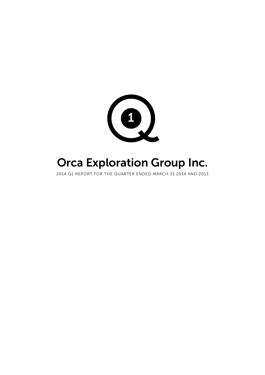

# Orca Exploration Group Inc.

2014 Q1 REPORT FOR THE QUARTER ENDED MARCH 31 2014 AND 2013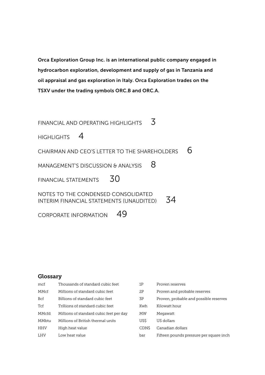Orca Exploration Group Inc. is an international public company engaged in hydrocarbon exploration, development and supply of gas in Tanzania and oil appraisal and gas exploration in Italy. Orca Exploration trades on the TSXV under the trading symbols ORC.B and ORC.A.

[FINANCIAL AND OPERATING HIGHLIGHTS](#page-2-0)  $\overline{3}$ [HIGHLIGHTS](#page-3-0) 4 CHAIRMAN AND CFO'S LETTER TO THE SHAREHOLDERS  $\overline{6}$ MANAGEMENT'S DISCUSSION  $\theta$  analysis  $8$ FINANCIAL STATEMENTS  $30$ [NOTES TO THE CONDENSED CONSOLIDATED](#page-33-0)  [INTERIM FINANCIAL STATEMENTS \(UNAUDITED\)](#page-33-0) 34

[CORPORATE INFORMATION](#page-48-0) 49

### Glossary

| mcf        | Thousands of standard cubic feet        | 1Ρ    | Proven reserves                         |
|------------|-----------------------------------------|-------|-----------------------------------------|
| MMcf       | Millions of standard cubic feet         | 2P    | Proven and probable reserves            |
| Bcf        | Billions of standard cubic feet         | 3P    | Proven, probable and possible reserves  |
| Tcf        | Trillions of standard cubic feet        | Kwh   | Kilowatt hour                           |
| MMcfd      | Millions of standard cubic feet per day | MW    | Megawatt                                |
| MMbtu      | Millions of British thermal units       | US\$  | US dollars                              |
| <b>HHV</b> | High heat value                         | CDN\$ | Canadian dollars                        |
| <b>LHV</b> | Low heat value                          | bar   | Fifteen pounds pressure per square inch |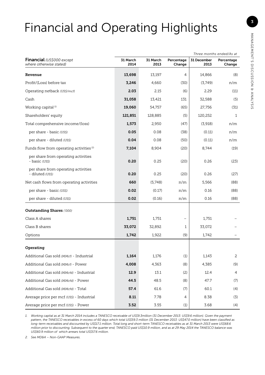# <span id="page-2-0"></span>Financial and Operating Highlights

|                                                         |                  |                  |                      |                     | Three months ended/As at |
|---------------------------------------------------------|------------------|------------------|----------------------|---------------------|--------------------------|
| Financial (US\$000 except<br>where otherwise stated)    | 31 March<br>2014 | 31 March<br>2013 | Percentage<br>Change | 31 December<br>2013 | Percentage<br>Change     |
| Revenue                                                 | 13,698           | 13,197           | 4                    | 14,866              | (8)                      |
| Profit/(Loss) before tax                                | 3,246            | 4.660            | (30)                 | (3,749)             | n/m                      |
| Operating netback (US\$/mcf)                            | 2.03             | 2.15             | (6)                  | 2.29                | (11)                     |
| Cash                                                    | 31.058           | 13,421           | 131                  | 32,588              | (5)                      |
| Working capital <sup>(1)</sup>                          | 19,060           | 54,757           | (65)                 | 27,756              | (31)                     |
| Shareholders' equity                                    | 121,851          | 128,885          | (5)                  | 120,252             | 1                        |
| Total comprehensive income/(loss)                       | 1,573            | 2,950            | (47)                 | (3,918)             | n/m                      |
| per share - basic (US\$)                                | 0.05             | 0.08             | (38)                 | (0.11)              | n/m                      |
| per share - diluted (US\$)                              | 0.04             | 0.08             | (50)                 | (0.11)              | n/m                      |
| Funds flow from operating activities <sup>(2)</sup>     | 7,104            | 8,904            | (20)                 | 8,744               | (19)                     |
| per share from operating activities<br>- basic (US\$)   | 0.20             | 0.25             | (20)                 | 0.26                | (23)                     |
| per share from operating activities<br>- diluted (US\$) | 0.20             | 0.25             | (20)                 | 0.26                | (27)                     |
| Net cash flows from operating activities                | 660              | (5,748)          | n/m                  | 5,566               | (88)                     |
| per share - basic (US\$)                                | 0.02             | (0.17)           | n/m                  | 0.16                | (88)                     |
| per share - diluted (US\$)                              | 0.02             | (0.16)           | n/m                  | 0.16                | (88)                     |
| <b>Outstanding Shares ('000)</b>                        |                  |                  |                      |                     |                          |
| Class A shares                                          | 1,751            | 1,751            |                      | 1,751               |                          |
| Class B shares                                          | 33,072           | 32,892           | 1                    | 33,072              |                          |
| Options                                                 | 1,742            | 1,922            | (9)                  | 1,742               |                          |
| Operating                                               |                  |                  |                      |                     |                          |
| Additional Gas sold (MMcf) - Industrial                 | 1,164            | 1,176            | (1)                  | 1,143               | 2                        |
| Additional Gas sold (MMcf) - Power                      | 4,008            | 4,363            | (8)                  | 4,385               | (9)                      |
| Additional Gas sold (MMcfd) - Industrial                | 12.9             | 13.1             | (2)                  | 12.4                | 4                        |
| Additional Gas sold (MMcfd) - Power                     | 44.5             | 48.5             | (8)                  | 47.7                | (7)                      |
| Additional Gas sold (MMcfd) - Total                     | 57.4             | 61.6             | (7)                  | 60.1                | (4)                      |
| Average price per mcf (US\$) - Industrial               | 8.11             | 7.78             | 4                    | 8.38                | (3)                      |
| Average price per mcf (US\$) - Power                    | 3.52             | 3.55             | (1)                  | 3.68                | (4)                      |

*1. Working capital as at 31 March 2014 includes a TANESCO receivable of US\$9.3million (31 December 2013: US\$9.6 million). Given the payment pattern, the TANESCO receivables in excess of 60 days which total US\$59.3 million (31 December 2013: US\$47.0 million) have been classified as long-term receivables and discounted by US\$17.1 million. Total long and short-term TANESCO receivables as at 31 March 2013 were US\$68.6 million prior to discounting. Subsequent to the quarter end, TANESCO paid US\$10.9 million, and as at 29 May 2014 the TANESCO balance was US\$60.9 million of which arrears total US\$57.6 million.*

*2. See MD&A – Non-GAAP Measures.*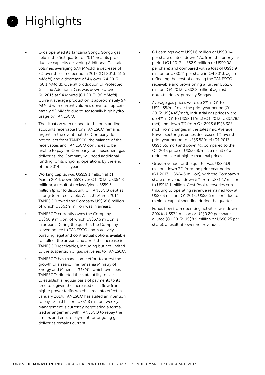- <span id="page-3-0"></span>4 **Highlights** 
	- Orca operated its Tanzania Songo Songo gas field in the first quarter of 2014 near its productive capacity delivering Additional Gas sales volumes averaging 57.4 MMcfd, a decrease of 7% over the same period in 2013 (Q1 2013: 61.6 MMcfd) and a decrease of 4% over Q4 2013 (60.1 MMcfd). Overall production of Protected Gas and Additional Gas was down 2% over Q1 2013 at 94 MMcfd (Q1 2013: 96 MMcfd). Current average production is approximately 94 MMcfd with current volumes down to approximately 82 MMcfd due to seasonally high hydro usage by TANESCO.
	- The situation with respect to the outstanding accounts receivable from TANESCO remains urgent. In the event that the Company does not collect from TANESCO the balance of the receivables and TANESCO continues to be unable to pay the Company for subsequent gas deliveries, the Company will need additional funding for its ongoing operations by the end of the 2014 fiscal year.
	- Working capital was US\$19.1 million at 31 March 2014, down 65% over Q1 2013 (US\$54.8 million), a result of reclassifying US\$59.3 million (prior to discount) of TANESCO debt as a long-term receivable. As at 31 March 2014, TANESCO owed the Company US\$68.6 million of which US\$63.9 million was in arrears.
	- TANESCO currently owes the Company US\$60.9 million, of which US\$57.6 million is in arrears. During the quarter, the Company served notice to TANESCO and is actively pursuing legal and contractual options available to collect the arrears and arrest the increase in TANESCO receivables, including but not limited to the suspension of gas deliveries to TANESCO.
	- TANESCO has made some effort to arrest the growth of arrears. The Tanzania Ministry of Energy and Minerals ("MEM"), which oversees TANESCO, directed the state utility to seek to establish a regular basis of payments to its creditors given the increased cash flow from higher power tariffs which came into effect in January 2014. TANESCO has stated an intention to pay TZsh 3 billion (US\$1.8 million) weekly. Management is currently negotiating a formalized arrangement with TANESCO to repay the arrears and ensure payment for ongoing gas deliveries remains current.
- Q1 earnings were US\$1.6 million or US\$0.04 per share diluted, down 47% from the prior year period (Q1 2013: US\$2.9 million or US\$0.08 per share) and compared with a loss of US\$3.9 million or US\$0.11 per share in Q4 2013, again reflecting the cost of carrying the TANESCO receivable and provisioning a further US\$2.6 million (Q4 2013: US\$2.2 million) against doubtful debts, primarily Songas.
- Average gas prices were up 2% in Q1 to US\$4.55/mcf over the prior year period (Q1 2013: US\$4.45/mcf), Industrial gas prices were up 4% in Q1 to US\$8.11/mcf (Q1 2013: US\$7.78/ mcf) and down 3% from Q4 2013 (US\$8.38/ mcf) from changes in the sales mix. Average Power sector gas prices decreased 1% over the prior year period to US\$3.52/mcf (Q1 2013: US\$3.55/mcf) and down 4% compared to the Q4 2013 price of US\$3.68/mcf, a result of a reduced take at higher marginal prices.
- Gross revenue for the quarter was US\$23.9 million, down 3% from the prior year period (Q1 2013: US\$24.6 million), with the Company's share of revenue down 5% from US\$12.7 million to US\$12.1 million. Cost Pool recoveries contributing to operating revenue remained low at US\$2.3 million (Q1 2013: US\$3.6 million) due to minimal capital spending during the quarter.
- Funds flow from operating activities was down 20% to US\$7.1 million or US\$0.20 per share diluted (Q1 2013: US\$8.9 million or US\$0.25 per share), a result of lower net revenues.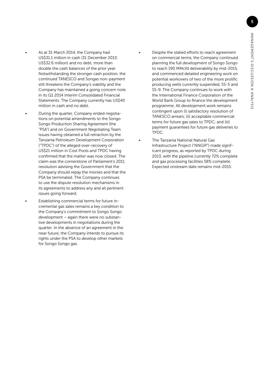- As at 31 March 2014, the Company had US\$31.1 million in cash (31 December 2013: US\$32.6 million) and no debt, more than double the cash balances of the prior year. Notwithstanding the stronger cash position, the continued TANESCO and Songas non-payment still threatens the Company's viability and the Company has maintained a going concern note in its Q1 2014 Interim Consolidated Financial Statements. The Company currently has US\$40 million in cash and no debt.
	- During the quarter, Company ended negotiations on potential amendments to the Songo Songo Production Sharing Agreement (the "PSA") and on Government Negotiating Team issues having obtained a full retraction by the Tanzania Petroleum Development Corporation ("TPDC") of the alleged over-recovery of US\$21 million in Cost Pools and TPDC having confirmed that the matter was now closed. The claim was the cornerstone of Parliament's 2011 resolution advising the Government that the Company should repay the monies and that the PSA be terminated. The Company continues to use the dispute resolution mechanisms in its agreements to address any and all pertinent issues going forward.
	- Establishing commercial terms for future incremental gas sales remains a key condition to the Company's commitment to Songo Songo development – again there were no substantive developments in negotiations during the quarter. In the absence of an agreement in the near future, the Company intends to pursue its rights under the PSA to develop other markets for Songo Songo gas.
- Despite the stalled efforts to reach agreement on commercial terms, the Company continued planning the full development of Songo Songo to reach 190 MMcfd deliverability by mid-2015, and commenced detailed engineering work on potential workovers of two of the more prolific producing wells currently suspended, SS-5 and SS-9. The Company continues to work with the International Finance Corporation of the World Bank Group to finance the development programme. All development work remains contingent upon (i) satisfactory resolution of TANESCO arrears; (ii) acceptable commercial terms for future gas sales to TPDC; and (iii) payment guarantees for future gas deliveries to TPDC.
- The Tanzania National Natural Gas Infrastructure Project ("NNGIP") made significant progress, as reported by TPDC during 2013, with the pipeline currently 72% complete and gas processing facilities 58% complete. Expected onstream date remains mid-2015.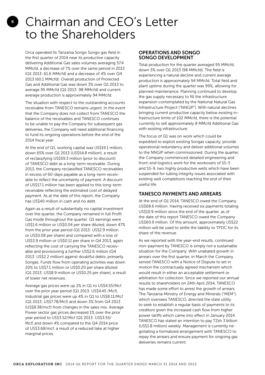# <span id="page-5-0"></span>Chairman and CEO's Letter to the Shareholders

Orca operated its Tanzania Songo Songo gas field in the first quarter of 2014 near its productive capacity delivering Additional Gas sales volumes averaging 57.4 MMcfd, a decrease of 7% over the same period in 2013 (Q1 2013: 61.6 MMcfd) and a decrease of 4% over Q4 2013 (60.1 MMcfd). Overall production of Protected Gas and Additional Gas was down 3% over Q1 2013 to average 95 MMcfd (Q1 2013: 98 MMcfd) and current average production is approximately 94 MMcfd.

The situation with respect to the outstanding accounts receivable from TANESCO remains urgent. In the event that the Company does not collect from TANESCO the balance of the receivables and TANESCO continues to be unable to pay the Company for subsequent gas deliveries, the Company will need additional financing to fund its ongoing operations before the end of the 2014 fiscal year.

At the end of Q1, working capital was US\$19.1 million, down 65% over Q1 2013 (US\$54.8 million), a result of reclassifying US\$59.3 million (prior to discount) of TANESCO debt as a long-term receivable. During 2013, the Company reclassified TANESCO receivables in excess of 60-days payable as a long-term receivable to reflect the uncertainty of payment. A discount of US\$17.1 million has been applied to this long-term receivable reflecting the estimated cost of delayed payment. As at the date of this report, the Company has US\$40 million in cash and no debt.

Again as a result of substantially no capital investment over the quarter, the Company remained in full Profit Gas mode throughout the quarter. Q1 earnings were US\$1.6 million or US\$0.04 per share diluted, down 47% from the prior year period (Q1 2013: US\$2.9 million or US\$0.08 per share) and compared with a loss of US\$3.9 million or US\$0.11 per share in Q4 2013, again reflecting the cost of carrying the TANESCO receivable and provisioning a further US\$2.6 million (Q4 2013: US\$2.2 million) against doubtful debts, primarily Songas. Funds flow from operating activities was down 20% to US\$7.1 million or US\$0.20 per share diluted (Q1 2013: US\$8.9 million or US\$0.25 per share), a result of lower net revenues.

Average gas prices were up 2% in Q1 to US\$4.55/Mcf over the prior year period (Q1 2013: US\$4.45 /Mcf), Industrial gas prices were up 4% in Q1 to US\$8.11/Mcf (Q1 2013: US\$7.78/Mcf) and down 3% from Q4 2013 (US\$8.38/mcf) from changes in the sales mix. Average Power sector gas prices decreased 1% over the prior year period to US\$3.52/Mcf (Q1 2013: US\$3.55/ Mcf) and down 4% compared to the Q4 2014 price of US\$3.68/mcf, a result of a reduced take at higher marginal prices.

### OPERATIONS AND SONGO SONGO DEVELOPMENT

Total production for the quarter averaged 95 MMcfd, down 3% over Q1 2013 (98 MMcfd). The field is experiencing a natural decline and current average production is approximately 94 MMcfd. Total field and plant uptime during the quarter was 99%, allowing for planned maintenance. Planning continued to develop the gas supply necessary to fill the infrastructure expansion contemplated by the National Natural Gas Infrastructure Project ("NNGIP"). With natural declines bringing current productive capacity below existing infrastructure limits of 102 MMcfd, there is the potential currently to sell approximately 8 MMcfd Additional Gas with existing infrastructure.

The focus of Q1 was on work which could be expedited to exploit existing Songas capacity, provide operational redundancy and deliver additional volumes to the NNGIP when commissioned. During the quarter, the Company commenced detailed engineering and front-end logistics work for the workovers of SS-5 and SS-9, two highly productive wells which have been suspended for tubing integrity issues associated with existing well completions reaching the end of their useful life.

### TANESCO PAYMENTS AND ARREARS

At the end of Q1 2014, TANESCO owed the Company US\$68.6 million. Having received six payments totaling US\$10.9 million since the end of the quarter, as of the date of this report TANESCO owed the Company US\$60.9 million. Of this amount, approximately US\$22 million will be used to settle the liability to TPDC for its share of the revenue.

As we reported with the year-end results, continued non-payment by TANESCO is simply not a sustainable situation for the Company. With unabated growth in arrears over the first quarter, in March the Company served TANESCO with a Notice of Dispute to set in motion the contractually agreed mechanism which would result in either an acceptable settlement or arbitration for collection. Since we reported our annual results to shareholders on 24th April 2014, TANESCO has made some effort to arrest the growth of arrears. The Tanzania Ministry of Energy and Minerals ("MEM"), which oversees TANESCO, directed the state utility to seek to establish a regular basis of payments to its creditors given the increased cash flow from higher power tariffs which came into effect in January 2014. TANESCO has stated an intention to pay TZsh 3 billion (US\$1.8 million) weekly. Management is currently negotiating a formalized arrangement with TANESCO to repay the arrears and ensure payment for ongoing gas deliveries remains current.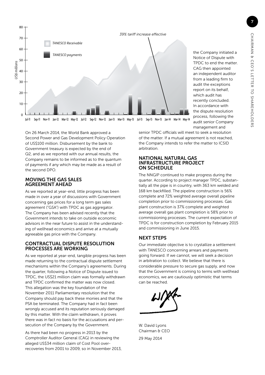

the Company initiated a Notice of Dispute with TPDC to end the matter. CAG then appointed an independent auditor from a leading firm to audit the exceptions report on its behalf, which audit has recently concluded. In accordance with the dispute resolution process, following the audit senior Company management and

On 26 March 2014, the World Bank approved a Second Power and Gas Development Policy Operation of US\$100 million. Disbursement by the bank to Government treasury is expected by the end of Q2, and as we reported with our annual results, the Company remains to be informed as to the quantum of payments if any which may be made as a result of the second DPO.

### MOVING THE GAS SALES AGREEMENT AHEAD

As we reported at year-end, little progress has been made in over a year of discussions with Government concerning gas prices for a long term gas sales agreement ("GSA") with TPDC as gas aggregator. The Company has been advised recently that the Government intends to take on outside economic advisors in the near future to assist in the understanding of wellhead economics and arrive at a mutually agreeable gas price with the Company.

### CONTRACTUAL DISPUTE RESOLUTION PROCESSES ARE WORKING

As we reported at year-end, tangible progress has been made returning to the contractual dispute settlement mechanisms within the Company's agreements. During the quarter, following a Notice of Dispute issued to TPDC, the US\$21 million claim was formally withdrawn and TPDC confirmed the matter was now closed. This allegation was the key foundation of the November 2011 Parliamentary resolution that the Company should pay back these monies and that the PSA be terminated. The Company had in fact been wrongly accused and its reputation seriously damaged by this matter. With the claim withdrawn, it proves there was in fact no basis for the accusations and persecution of the Company by the Government.

As there had been no progress in 2013 by the Comptroller Auditor General (CAG) in reviewing the alleged US\$34 million claim of Cost Pool overrecoveries from 2001 to 2009, so in November 2013, senior TPDC officials will meet to seek a resolution of the matter. If a mutual agreement is not reached, the Company intends to refer the matter to ICSID arbitration.

### NATIONAL NATURAL GAS INFRASTRUCTURE PROJECT ON SCHEDULE

The NNGIP continued to make progress during the quarter. According to project manager TPDC, substantially all the pipe is in country, with 363 km welded and 168 km backfilled. The pipeline construction is 56% complete and 72% weighted average overall pipeline completion prior to commissioning processes. Gas plant construction is 37% complete and weighted average overall gas plant completion is 58% prior to commissioning processes. The current expectation of TPDC is for construction completion by February 2015 and commissioning in June 2015.

### NEXT STEPS

Our immediate objective is to crystallize a settlement with TANESCO concerning arrears and payments going forward. If we cannot, we will seek a decision in arbitration to collect. We believe that there is considerable pressure to secure gas supply, and now that the Government is coming to terms with wellhead economics, we are cautiously optimistic that terms can be reached.



W. David Lyons Chairman & CEO 29 May 2014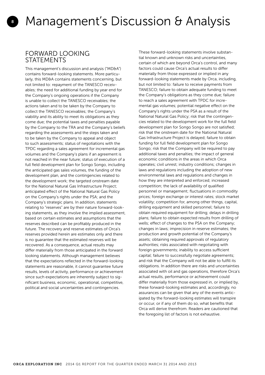### FORWARD LOOKING **STATEMENTS**

<span id="page-7-0"></span>8

This management's discussion and analysis ("MD&A") contains forward-looking statements. More particularly, this MD&A contains statements concerning, but not limited to: repayment of the TANESCO receivables; the need for additional funding by year end for the Company's ongoing operations if the Company is unable to collect the TANESCO receivables; the actions taken and to be taken by the Company to collect the TANESCO receivables; the Company's viability and its ability to meet its obligations as they come due; the potential taxes and penalties payable by the Company to the TRA and the Company's beliefs regarding the assessments and the steps taken and to be taken by the Company to appeal and object to such assessments; status of negotiations with the TPDC regarding a sales agreement for incremental gas volumes and the Company's plans if an agreement is not reached in the near future; status of execution of a full field development plan for Songo Songo, including the anticipated gas sales volumes, the funding of the development plan, and the contingencies related to the development work; the targeted onstream date for the National Natural Gas Infrastructure Project; anticipated effect of the National Natural Gas Policy on the Company's rights under the PSA; and the Company's strategic plans. In addition, statements relating to "reserves" are by their nature forward-looking statements, as they involve the implied assessment, based on certain estimates and assumptions that the reserves described can be profitably produced in the future. The recovery and reserve estimates of Orca's reserves provided herein are estimates only and there is no guarantee that the estimated reserves will be recovered. As a consequence, actual results may differ materially from those anticipated in the forward looking statements. Although management believes that the expectations reflected in the forward-looking statements are reasonable, it cannot guarantee future results, levels of activity, performance or achievement since such expectations are inherently subject to significant business, economic, operational, competitive, political and social uncertainties and contingencies.

These forward-looking statements involve substantial known and unknown risks and uncertainties, certain of which are beyond Orca's control, and many factors could cause Orca's actual results to differ materially from those expressed or implied in any forward-looking statements made by Orca, including, but not limited to: failure to receive payments from TANESCO; failure to obtain adequate funding to meet the Company's obligations as they come due; failure to reach a sales agreement with TPDC for incremental gas volumes; potential negative effect on the Company's rights under the PSA as a result of the National Natural Gas Policy; risk that the contingencies related to the development work for the full field development plan for Songo Songo are not satisfied; risk that the onstream date for the National Natural Gas Infrastructure Project is delayed; failure to obtain funding for full field development plan for Songo Songo; risk that the Company will be required to pay additional taxes and penalties; the impact of general economic conditions in the areas in which Orca operates; civil unrest; industry conditions; changes in laws and regulations including the adoption of new environmental laws and regulations and changes in how they are interpreted and enforced; increased competition; the lack of availability of qualified personnel or management; fluctuations in commodity prices; foreign exchange or interest rates; stock market volatility; competition for, among other things, capital, drilling equipment and skilled personnel; failure to obtain required equipment for drilling; delays in drilling plans; failure to obtain expected results from drilling of wells; effect of changes to the PSA on the Company; changes in laws; imprecision in reserve estimates; the production and growth potential of the Company's assets; obtaining required approvals of regulatory authorities; risks associated with negotiating with foreign governments; inability to access sufficient capital; failure to successfully negotiate agreements; and risk that the Company will not be able to fulfill its obligations. In addition there are risks and uncertainties associated with oil and gas operations, therefore Orca's actual results, performance or achievement could differ materially from those expressed in, or implied by, these forward-looking estimates and, accordingly, no assurances can be given that any of the events anticipated by the forward-looking estimates will transpire or occur, or if any of them do so, what benefits that Orca will derive therefrom. Readers are cautioned that the foregoing list of factors is not exhaustive.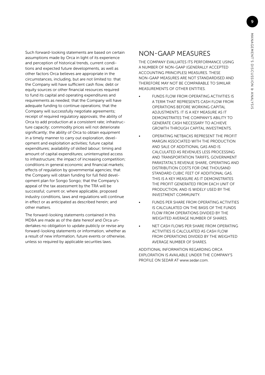Such forward-looking statements are based on certain assumptions made by Orca in light of its experience and perception of historical trends, current conditions and expected future developments, as well as other factors Orca believes are appropriate in the circumstances, including, but are not limited to: that the Company will have sufficient cash flow, debt or equity sources or other financial resources required to fund its capital and operating expenditures and requirements as needed; that the Company will have adequate funding to continue operations; that the Company will successfully negotiate agreements; receipt of required regulatory approvals; the ability of Orca to add production at a consistent rate; infrastructure capacity; commodity prices will not deteriorate significantly; the ability of Orca to obtain equipment in a timely manner to carry out exploration, development and exploitation activities; future capital expenditures; availability of skilled labour; timing and amount of capital expenditures; uninterrupted access to infrastructure; the impact of increasing competition; conditions in general economic and financial markets; effects of regulation by governmental agencies; that the Company will obtain funding for full field development plan for Songo Songo; that the Company's appeal of the tax assessment by the TRA will be successful; current or, where applicable, proposed industry conditions, laws and regulations will continue in effect or as anticipated as described herein; and other matters.

The forward-looking statements contained in this MD&A are made as of the date hereof and Orca undertakes no obligation to update publicly or revise any forward-looking statements or information, whether as a result of new information, future events or otherwise, unless so required by applicable securities laws.

# NON-GAAP MEASURES

THE COMPANY EVALUATES ITS PERFORMANCE USING A NUMBER OF NON-GAAP (GENERALLY ACCEPTED ACCOUNTING PRINCIPLES) MEASURES. THESE NON-GAAP MEASURES ARE NOT STANDARDISED AND THEREFORE MAY NOT BE COMPARABLE TO SIMILAR MEASUREMENTS OF OTHER ENTITIES.

- FUNDS FLOW FROM OPERATING ACTIVITIES IS A TERM THAT REPRESENTS CASH FLOW FROM OPERATIONS BEFORE WORKING CAPITAL ADJUSTMENTS. IT IS A KEY MEASURE AS IT DEMONSTRATES THE COMPANY'S ABILITY TO GENERATE CASH NECESSARY TO ACHIEVE GROWTH THROUGH CAPITAL INVESTMENTS.
- OPERATING NETBACKS REPRESENT THE PROFIT MARGIN ASSOCIATED WITH THE PRODUCTION AND SALE OF ADDITIONAL GAS AND IS CALCULATED AS REVENUES LESS PROCESSING AND TRANSPORTATION TARIFFS, GOVERNMENT PARASTATAL'S REVENUE SHARE, OPERATING AND DISTRIBUTION COSTS FOR ONE THOUSAND STANDARD CUBIC FEET OF ADDITIONAL GAS. THIS IS A KEY MEASURE AS IT DEMONSTRATES THE PROFIT GENERATED FROM EACH UNIT OF PRODUCTION, AND IS WIDELY USED BY THE INVESTMENT COMMUNITY.
- FUNDS PER SHARE FROM OPERATING ACTIVITIES IS CALCUALATED ON THE BASIS OF THE FUNDS FLOW FROM OPERATIONS DIVIDED BY THE WEIGHTED AVERAGE NUMBER OF SHARES.
- NET CASH FLOWS PER SHARE FROM OPERATING ACTIVITIES IS CALCULATED AS CASH FLOW FROM OPERATIONS DIVIDED BY THE WEIGHTED AVERAGE NUMBER OF SHARES.

ADDITIONAL INFORMATION REGARDING ORCA EXPLORATION IS AVAILABLE UNDER THE COMPANY'S PROFILE ON SEDAR AT www.sedar.com.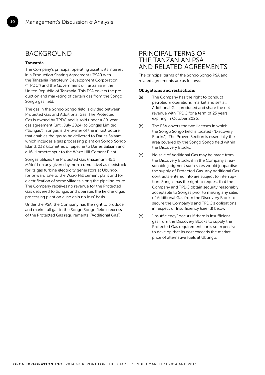### BACKGROUND

### Tanzania

10

The Company's principal operating asset is its interest in a Production Sharing Agreement ("PSA") with the Tanzania Petroleum Development Corporation ("TPDC") and the Government of Tanzania in the United Republic of Tanzania. This PSA covers the production and marketing of certain gas from the Songo Songo gas field.

The gas in the Songo Songo field is divided between Protected Gas and Additional Gas. The Protected Gas is owned by TPDC and is sold under a 20-year gas agreement (until July 2024) to Songas Limited ("Songas"). Songas is the owner of the infrastructure that enables the gas to be delivered to Dar es Salaam, which includes a gas processing plant on Songo Songo Island, 232 kilometres of pipeline to Dar es Salaam and a 16 kilometre spur to the Wazo Hill Cement Plant.

Songas utilizes the Protected Gas (maximum 45.1 MMcfd on any given day, non-cumulative) as feedstock for its gas turbine electricity generators at Ubungo, for onward sale to the Wazo Hill cement plant and for electrification of some villages along the pipeline route. The Company receives no revenue for the Protected Gas delivered to Songas and operates the field and gas processing plant on a 'no gain no loss' basis.

Under the PSA, the Company has the right to produce and market all gas in the Songo Songo field in excess of the Protected Gas requirements ("Additional Gas").

### PRINCIPAL TERMS OF THE TANZANIAN PSA AND RELATED AGREEMENTS

The principal terms of the Songo Songo PSA and related agreements are as follows:

#### Obligations and restrictions

- (a) The Company has the right to conduct petroleum operations, market and sell all Additional Gas produced and share the net revenue with TPDC for a term of 25 years expiring in October 2026.
- (b) The PSA covers the two licenses in which the Songo Songo field is located ("Discovery Blocks"). The Proven Section is essentially the area covered by the Songo Songo field within the Discovery Blocks.
- (c) No sale of Additional Gas may be made from the Discovery Blocks if in the Company's reasonable judgment such sales would jeopardise the supply of Protected Gas. Any Additional Gas contracts entered into are subject to interruption. Songas has the right to request that the Company and TPDC obtain security reasonably acceptable to Songas prior to making any sales of Additional Gas from the Discovery Block to secure the Company's and TPDC's obligations in respect of Insufficiency (see (d) below).
- (d) "Insufficiency" occurs if there is insufficient gas from the Discovery Blocks to supply the Protected Gas requirements or is so expensive to develop that its cost exceeds the market price of alternative fuels at Ubungo.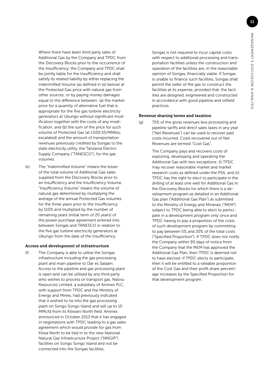Where there have been third party sales of Additional Gas by the Company and TPDC from the Discovery Blocks prior to the occurrence of the Insufficiency, the Company and TPDC shall be jointly liable for the Insufficiency and shall satisfy its related liability by either replacing the Indemnified Volume (as defined in (e) below) at the Protected Gas price with natural gas from other sources; or by paying money damages equal to the difference between: (a) the market price for a quantity of alternative fuel that is appropriate for the five gas turbine electricity generators at Ubungo without significant modification together with the costs of any modification; and (b) the sum of the price for such volume of Protected Gas (at US\$0.55/MMbtu escalated) and the amount of transportation revenues previously credited by Songas to the state electricity utility, the Tanzania Electric Supply Company ("TANESCO"), for the gas volumes.

(e) The "Indemnified Volume" means the lesser of the total volume of Additional Gas sales supplied from the Discovery Blocks prior to an Insufficiency and the Insufficiency Volume. "Insufficiency Volume" means the volume of natural gas determined by multiplying the average of the annual Protected Gas volumes for the three years prior to the Insufficiency by 110% and multiplied by the number of remaining years (initial term of 20 years) of the power purchase agreement entered into between Songas and TANESCO in relation to the five gas turbine electricity generators at Ubungo from the date of the Insufficiency.

#### Access and development of infrastructure

(f) The Company is able to utilise the Songas infrastructure including the gas processing plant and main pipeline to Dar es Salaam. Access to the pipeline and gas processing plant is open and can be utilised by any third party who wishes to process or transport gas. Ndovu Resources Limited, a subsidiary of Aminex PLC, with support from TPDC and the Ministry of Energy and Mines, had previously indicated that it wished to tie into the gas processing plant on Songo Songo Island and sell up to 10 MMcfd from its Kiliwani North field. Aminex announced in October 2013 that it has engaged in negotiations with TPDC leading to a gas sales agreement which would provide for gas from Kilwa North to be tied in to the new National Natural Gas Infrastructure Project ("NNGIP") facilities on Songo Songo Island and not be connected into the Songas facilities.

 Songas is not required to incur capital costs with respect to additional processing and transportation facilities unless the construction and operation of the facilities are, in the reasonable opinion of Songas, financially viable. If Songas is unable to finance such facilities, Songas shall permit the seller of the gas to construct the facilities at its expense, provided that, the facilities are designed, engineered and constructed in accordance with good pipeline and oilfield practices.

### Revenue sharing terms and taxation

(g) 75% of the gross revenues less processing and pipeline tariffs and direct sales taxes in any year ("Net Revenues") can be used to recover past costs incurred. Costs recovered out of Net Revenues are termed "Cost Gas".

> The Company pays and recovers costs of exploring, developing and operating the Additional Gas with two exceptions: (i) TPDC may recover reasonable market and market research costs as defined under the PSA; and (ii) TPDC has the right to elect to participate in the drilling of at least one well for Additional Gas in the Discovery Blocks for which there is a development program as detailed in an Additional Gas plan ("Additional Gas Plan") as submitted to the Ministry of Energy and Minerals ("MEM") subject to TPDC being able to elect to participate in a development program only once and TPDC having to pay a proportion of the costs of such development program by committing to pay between 5% and 20% of the total costs ("Specified Proportion"). If TPDC does not notify the Company within 90 days of notice from the Company that the MEM has approved the Additional Gas Plan, then TPDC is deemed not to have elected. If TPDC elects to participate, then it will be entitled to a rateable proportion of the Cost Gas and their profit share percentage increases by the Specified Proportion for that development program.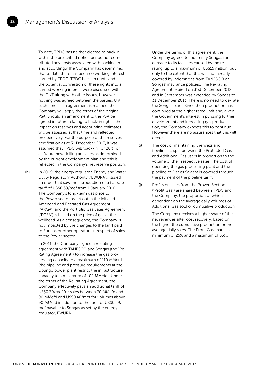12

 To date, TPDC has neither elected to back in within the prescribed notice period nor contributed any costs associated with backing in and accordingly the Company has determined that to date there has been no working interest earned by TPDC. TPDC back-in rights and the potential conversion of these rights into a carried working interest were discussed with the GNT along with other issues, however nothing was agreed between the parties. Until such time as an agreement is reached, the Company will apply the terms of the original PSA. Should an amendment to the PSA be agreed in future relating to back-in rights, the impact on reserves and accounting estimates will be assessed at that time and reflected prospectively. For the purpose of the reserves certification as at 31 December 2013, it was assumed that TPDC will 'back-in' for 20% for all future new drilling activities as determined by the current development plan and this is reflected in the Company's net reserve position.

(h) In 2009, the energy regulator, Energy and Water Utility Regulatory Authority ("EWURA"), issued an order that saw the introduction of a flat rate tariff of US\$0.59/mcf from 1 January 2010. The Company's long-term gas price to the Power sector as set out in the initialed Amended and Restated Gas Agreement ("ARGA") and the Portfolio Gas Sales Agreement ("PGSA") is based on the price of gas at the wellhead. As a consequence, the Company is not impacted by the changes to the tariff paid to Songas or other operators in respect of sales to the Power sector.

> In 2011, the Company signed a re-rating agreement with TANESCO and Songas (the "Re-Rating Agreement") to increase the gas processing capacity to a maximum of 110 MMcfd (the pipeline and pressure requirements at the Ubungo power plant restrict the infrastructure capacity to a maximum of 102 MMcfd). Under the terms of the Re-rating Agreement, the Company effectively pays an additional tariff of US\$0.30/mcf for sales between 70 MMcfd and 90 MMcfd and US\$0.40/mcf for volumes above 90 MMcfd in addition to the tariff of US\$0.59/ mcf payable to Songas as set by the energy regulator, EWURA.

 Under the terms of this agreement, the Company agreed to indemnify Songas for damage to its facilities caused by the rerating, up to a maximum of US\$15 million, but only to the extent that this was not already covered by indemnities from TANESCO or Songas' insurance policies. The Re-rating Agreement expired on 31st December 2012 and in September was extended by Songas to 31 December 2013. There is no need to de-rate the Songas plant. Since then production has continued at the higher rated limit and, given the Government's interest in pursuing further development and increasing gas production, the Company expects this to continue. However there are no assurances that this will occur.

- (i) The cost of maintaining the wells and flowlines is split between the Protected Gas and Additional Gas users in proportion to the volume of their respective sales. The cost of operating the gas processing plant and the pipeline to Dar es Salaam is covered through the payment of the pipeline tariff.
- (j) Profits on sales from the Proven Section ("Profit Gas") are shared between TPDC and the Company, the proportion of which is dependent on the average daily volumes of Additional Gas sold or cumulative production.

 The Company receives a higher share of the net revenues after cost recovery, based on the higher the cumulative production or the average daily sales. The Profit Gas share is a minimum of 25% and a maximum of 55%.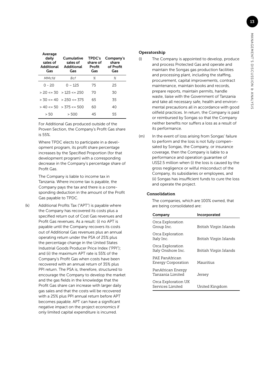| ļ<br>ı<br>ļ<br>I                                                                              |                  |
|-----------------------------------------------------------------------------------------------|------------------|
|                                                                                               |                  |
| Ó                                                                                             | ١                |
|                                                                                               | 1                |
| しこくく<br>؛<br>)                                                                                | ١<br>١<br>J<br>١ |
| ¢                                                                                             | ١                |
| ֖ׅ֧֧ׅ֧֧֧֧֚֚֚֚֚֚֚֚֚֚֚֚֚֚֚֚֚֚֚֚֚֚֚֡֕֡֡֡֡֡֡֡֬֓֡֡֡֬֝֬֩֓֡֡֬֝֓֝֬֝֬<br>$\overline{\phantom{a}}$<br>Ì | ׇ֠<br>١          |

| Average<br>daily<br>sales of<br><b>Additional</b><br>Gas | Cumulative<br>sales of<br>Additional<br>Gas | <b>TPDC's</b><br>share of<br>Profit<br>Gas | Company's<br>share<br>of Profit<br>Gas |
|----------------------------------------------------------|---------------------------------------------|--------------------------------------------|----------------------------------------|
| MMcfd                                                    | Bcf                                         | $\%$                                       | $\%$                                   |
| $0 - 20$                                                 | $0 - 125$                                   | 75                                         | 25                                     |
|                                                          | $>$ 20 $\lt$ = 30 $>$ 125 $\lt$ = 250       | 70                                         | 30                                     |
|                                                          | $> 30 \le 40$ $> 250 \le 375$               | 65                                         | 35                                     |
|                                                          | $> 40 \le 50$ $> 375 \le 500$               | 60                                         | 40                                     |
| > 50                                                     | > 500                                       | 45                                         | 55                                     |

 For Additional Gas produced outside of the Proven Section, the Company's Profit Gas share is 55%.

 Where TPDC elects to participate in a development program, its profit share percentage increases by the Specified Proportion (for that development program) with a corresponding decrease in the Company's percentage share of Profit Gas.

 The Company is liable to income tax in Tanzania. Where income tax is payable, the Company pays the tax and there is a corresponding deduction in the amount of the Profit Gas payable to TPDC.

(k) Additional Profits Tax ("APT") is payable where the Company has recovered its costs plus a specified return out of Cost Gas revenues and Profit Gas revenues. As a result: (i) no APT is payable until the Company recovers its costs out of Additional Gas revenues plus an annual operating return under the PSA of 25% plus the percentage change in the United States Industrial Goods Producer Price Index ("PPI"); and (ii) the maximum APT rate is 55% of the Company's Profit Gas when costs have been recovered with an annual return of 35% plus PPI return. The PSA is, therefore, structured to encourage the Company to develop the market and the gas fields in the knowledge that the Profit Gas share can increase with larger daily gas sales and that the costs will be recovered with a 25% plus PPI annual return before APT becomes payable. APT can have a significant negative impact on the project economics if only limited capital expenditure is incurred.

### Operatorship

- (l) The Company is appointed to develop, produce and process Protected Gas and operate and maintain the Songas gas production facilities and processing plant, including the staffing, procurement, capital improvements, contract maintenance, maintain books and records, prepare reports, maintain permits, handle waste, liaise with the Government of Tanzania and take all necessary safe, health and environmental precautions all in accordance with good oilfield practices. In return, the Company is paid or reimbursed by Songas so that the Company neither benefits nor suffers a loss as a result of its performance.
- (m) In the event of loss arising from Songas' failure to perform and the loss is not fully compensated by Songas, the Company, or insurance coverage, then the Company is liable to a performance and operation guarantee of US\$2.5 million when (i) the loss is caused by the gross negligence or wilful misconduct of the Company, its subsidiaries or employees, and (ii) Songas has insufficient funds to cure the loss and operate the project.

#### Consolidation

 The companies, which are 100% owned, that are being consolidated are:

| Company                                 | Incorporated           |
|-----------------------------------------|------------------------|
| Orca Exploration<br>Group Inc.          | British Virgin Islands |
| Orca Exploration<br>Italy Inc.          | British Virgin Islands |
| Orca Exploration<br>Italy Onshore Inc.  | British Virgin Islands |
| PAE PanAfrican<br>Energy Corporation    | Mauritius              |
| PanAfrican Energy<br>Tanzania Limited   | Jersey                 |
| Orca Exploration UK<br>Services Limited | United Kingdom         |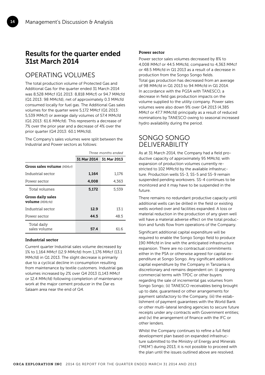14

# Results for the quarter ended 31st March 2014

## OPERATING VOLUMES

The total production volume of Protected Gas and Additional Gas for the quarter ended 31 March 2014 was 8,528 MMcf (Q1 2013: 8,818 MMcf) or 94.7 MMcfd (Q1 2013: 98 MMcfd), net of approximately 0.3 MMcfd consumed locally for fuel gas. The Additional Gas sales volumes for the quarter were 5,172 MMcf (Q1 2013: 5,539 MMcf) or average daily volumes of 57.4 MMcfd (Q1 2013: 61.6 MMcfd). This represents a decrease of 7% over the prior year and a decrease of 4% over the prior quarter (Q4 2013: 60.1 MMcfd).

The Company's sales volumes were split between the Industrial and Power sectors as follows:

|                                            | Three months ended      |       |
|--------------------------------------------|-------------------------|-------|
|                                            | 31 Mar 2014 31 Mar 2013 |       |
| <b>Gross sales volume</b> (MMcf)           |                         |       |
| Industrial sector                          | 1,164                   | 1,176 |
| Power sector                               | 4,008                   | 4,363 |
| Total volumes                              | 5,172                   | 5,539 |
| Gross daily sales<br><b>volume</b> (MMcfd) |                         |       |
| Industrial sector                          | 12.9                    | 13.1  |
| Power sector                               | 44.5                    | 48.5  |
| Total daily<br>sales volume                | 57.4                    | 61 6  |

### Industrial sector

Current quarter Industrial sales volume decreased by 1% to 1,164 MMcf (12.9 MMcfd) from 1,176 MMcf (13.1 MMcfd) in Q1 2013. The slight decrease is primarily due to a cyclical decline in consumption resulting from maintenance by textile customers. Industrial gas volumes increased by 2% over Q4 2013 (1,143 MMcf or 12.4 MMcfd) following completion of maintenance work at the major cement producer in the Dar es Salaam area near the end of Q4.

### Power sector

Power sector sales volumes decreased by 8% to 4,008 MMcf or 44.5 MMcfd, compared to 4,363 MMcf or 48.5 MMcfd in Q1 2013 as a result of a decrease in production from the Songo Songo fields. Total gas production has decreased from an average of 98 MMcfd in Q1 2013 to 94 MMcfd in Q1 2014. In accordance with the PGSA with TANESCO, a decrease in field gas production impacts on the volume supplied to the utility company. Power sales volumes were also down 9% over Q4 2013 (4,385 MMcf or 47.7 MMcfd) principally as a result of reduced nominations by TANESCO owing to seasonal increased hydro availability during the period.

### SONGO SONGO DELIVERABILITY

As at 31 March 2014, the Company had a field productive capacity of approximately 95 MMcfd, with expansion of production volumes currently restricted to 102 MMcfd by the available infrastructure. Production wells SS-3, SS-5 and SS-9 remain suspended pending workovers. SS-4 continues to be monitored and it may have to be suspended in the future.

There remains no redundant productive capacity until additional wells can be drilled in the field or existing wells worked over and facilities expanded. A loss or material reduction in the production of any given well will have a material adverse effect on the total production and funds flow from operations of the Company.

Significant additional capital expenditure will be required to enable the Songo Songo field to produce 190 MMcfd in line with the anticipated infrastructure expansion. There are no contractual commitments either in the PSA or otherwise agreed for capital expenditure at Songo Songo. Any significant additional capital expenditure by the Company in Tanzania is discretionary and remains dependent on: (i) agreeing commercial terms with TPDC or other buyers regarding the sale of incremental gas volumes from Songo Songo; (ii) TANESCO receivables being brought up to date, guaranteed or other arrangements for payment satisfactory to the Company, (iii) the establishment of payment guarantees with the World Bank or other multi-lateral lending agencies to secure future receipts under any contracts with Government entities; and (iv) the arrangement of finance with the IFC or other lenders.

Whilst the Company continues to refine a full field development plan based on expanded infrastructure submitted to the Ministry of Energy and Minerals ("MEM") during 2013, it is not possible to proceed with the plan until the issues outlined above are resolved.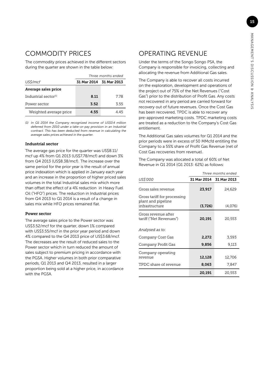# COMMODITY PRICES

The commodity prices achieved in the different sectors during the quarter are shown in the table below:

|                         | Three months ended      |      |  |
|-------------------------|-------------------------|------|--|
| US\$/mcf                | 31 Mar 2014 31 Mar 2013 |      |  |
| Average sales price     |                         |      |  |
| Industrial sector $(1)$ | 8.11                    | 7 78 |  |
| Power sector            | 3.52                    | 3.55 |  |
| Weighted average price  | 4.55                    | 4 45 |  |

*(1) In Q1 2014 the Company recognized income of US\$0.4 million deferred from 2010 under a take-or-pay provision in an Industrial contract. This has been deducted from revenue in calculating the average sales prices achieved in the quarter.* 

### Industrial sector

The average gas price for the quarter was US\$8.11/ mcf up 4% from Q1 2013 (US\$7.78/mcf) and down 3% from Q4 2013 (US\$8.38/mcf). The increase over the same period for the prior year is the result of annual price indexation which is applied in January each year and an increase in the proportion of higher priced sales volumes in the total Industrial sales mix which more than offset the effect of a 4% reduction in Heavy Fuel Oil ("HFO") prices. The reduction in Industrial prices from Q4 2013 to Q1 2014 is a result of a change in sales mix while HFO prices remained flat.

#### Power sector

The average sales price to the Power sector was US\$3.52/mcf for the quarter, down 1% compared with US\$3.55/mcf in the prior year period and down 4% compared to the Q4 2013 price of US\$3.68/mcf. The decreases are the result of reduced sales to the Power sector which in turn reduced the amount of sales subject to premium pricing in accordance with the PGSA. Higher volumes in both prior comparative periods, Q1 2013 and Q4 2013, resulted in a larger proportion being sold at a higher price, in accordance with the PGSA.

# OPERATING REVENUE

Under the terms of the Songo Songo PSA, the Company is responsible for invoicing, collecting and allocating the revenue from Additional Gas sales.

The Company is able to recover all costs incurred on the exploration, development and operations of the project out of 75% of the Net Revenues ("Cost Gas") prior to the distribution of Profit Gas. Any costs not recovered in any period are carried forward for recovery out of future revenues. Once the Cost Gas has been recovered, TPDC is able to recover any pre-approved marketing costs. TPDC marketing costs are treated as a reduction to the Company's Cost Gas entitlement.

The Additional Gas sales volumes for Q1 2014 and the prior periods were in excess of 50 MMcfd entitling the Company to a 55% share of Profit Gas Revenue (net of Cost Gas recoveries from revenue).

The Company was allocated a total of 60% of Net Revenue in Q1 2014 (Q1 2013: 62%) as follows:

|                                                                     | Three months ended      |         |
|---------------------------------------------------------------------|-------------------------|---------|
| US\$'000                                                            | 31 Mar 2014 31 Mar 2013 |         |
| Gross sales revenue                                                 | 23,917                  | 24,629  |
| Gross tariff for processing<br>plant and pipeline<br>infrastructure | (3,726)                 | (4,076) |
|                                                                     |                         |         |
| Gross revenue after<br>tariff ("Net Revenues")                      | 20,191                  | 20,553  |
| Analysed as to:                                                     |                         |         |
| Company Cost Gas                                                    | 2,272                   | 3,593   |
| Company Profit Gas                                                  | 9,856                   | 9,113   |
| Company operating                                                   |                         |         |
| revenue                                                             | 12,128                  | 12,706  |
| TPDC share of revenue                                               | 8,063                   | 7,847   |
|                                                                     | 20,191                  | 20,553  |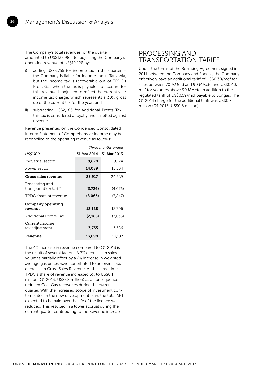16

The Company's total revenues for the quarter amounted to US\$13,698 after adjusting the Company's operating revenue of US\$12,128 by:

- i) adding US\$3,755 for income tax in the quarter the Company is liable for income tax in Tanzania, but the income tax is recoverable out of TPDC's Profit Gas when the tax is payable. To account for this, revenue is adjusted to reflect the current year income tax charge, which represents a 30% gross up of the current tax for the year; and
- ii) subtracting US\$2,185 for Additional Profits Tax this tax is considered a royalty and is netted against revenue.

Revenue presented on the Condensed Consolidated Interim Statement of Comprehensive Income may be reconciled to the operating revenue as follows:

|                                         | Three months ended      |          |
|-----------------------------------------|-------------------------|----------|
| US\$'000                                | 31 Mar 2014 31 Mar 2013 |          |
| Industrial sector                       | 9,828                   | 9,124    |
| Power sector                            | 14,089                  | 15,504   |
| Gross sales revenue                     | 23,917                  | 24,629   |
| Processing and<br>transportation tariff | (3,726)                 | (4,076)  |
| TPDC share of revenue                   | (8,063)                 | (7, 847) |
| Company operating<br>revenue            | 12,128                  | 12,706   |
| Additional Profits Tax                  | (2, 185)                | (3,035)  |
| Current income<br>tax adjustment        | 3,755                   | 3,526    |
| Revenue                                 | 13,698                  | 13,197   |

The 4% increase in revenue compared to Q1 2013 is the result of several factors. A 7% decrease in sales volumes partially offset by a 2% increase in weighted average gas prices have contributed to an overall 3% decrease in Gross Sales Revenue. At the same time TPDC's share of revenue increased 3% to US\$8.1 million (Q1 2013: US\$7.8 million) as a consequence reduced Cost Gas recoveries during the current quarter. With the increased scope of investment contemplated in the new development plan, the total APT expected to be paid over the life of the licence was reduced. This resulted in a lower accrual during the current quarter contributing to the Revenue increase.

### PROCESSING AND TRANSPORTATION TARIFF

Under the terms of the Re-rating Agreement signed in 2011 between the Company and Songas, the Company effectively pays an additional tariff of US\$0.30/mcf for sales between 70 MMcfd and 90 MMcfd and US\$0.40/ mcf for volumes above 90 MMcfd in addition to the regulated tariff of US\$0.59/mcf payable to Songas. The Q1 2014 charge for the additional tariff was US\$0.7 million (Q1 2013: US\$0.8 million).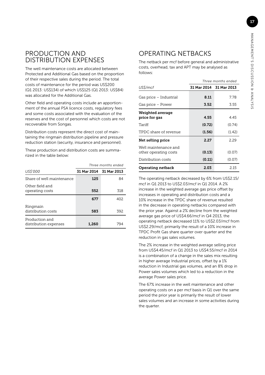### PRODUCTION AND DISTRIBUTION EXPENSES

The well maintenance costs are allocated between Protected and Additional Gas based on the proportion of their respective sales during the period. The total costs of maintenance for the period was US\$200 (Q1 2013: US\$134) of which US\$125 (Q1 2013: US\$84) was allocated for the Additional Gas.

Other field and operating costs include an apportionment of the annual PSA licence costs, regulatory fees and some costs associated with the evaluation of the reserves and the cost of personnel which costs are not recoverable from Songas.

Distribution costs represent the direct cost of maintaining the ringmain distribution pipeline and pressure reduction station (security, insurance and personnel).

These production and distribution costs are summarized in the table below:

|                                         | Three months ended      |     |
|-----------------------------------------|-------------------------|-----|
| US\$'000                                | 31 Mar 2014 31 Mar 2013 |     |
| Share of well maintenance               | 125                     | 84  |
| Other field and<br>operating costs      | 552                     | 318 |
|                                         | 677                     | 402 |
| Ringmain<br>distribution costs          | 583                     | 392 |
| Production and<br>distribution expenses | 1.260                   | 794 |

# OPERATING NETBACKS

The netback per mcf before general and administrative costs, overhead, tax and APT may be analysed as follows:

|                                               | Three months ended      |        |  |
|-----------------------------------------------|-------------------------|--------|--|
| US\$/mcf                                      | 31 Mar 2014 31 Mar 2013 |        |  |
| Gas price – Industrial                        | 8.11                    | 7.78   |  |
| Gas price – Power                             | 3.52                    | 3.55   |  |
| Weighted average<br>price for gas             | 4.55                    | 4.45   |  |
| Tariff                                        | (0.72)                  | (0.74) |  |
| TPDC share of revenue                         | (1.56)                  | (1.42) |  |
| Net selling price                             | 2.27                    | 2.29   |  |
| Well maintenance and<br>other operating costs | (0.13)                  | (0.07) |  |
| Distribution costs                            | (0.11)                  | (0.07) |  |
| Operating netback                             | 2.03                    | 2.15   |  |

The operating netback decreased by 6% from US\$2.15/ mcf in Q1 2013 to US\$2.03/mcf in Q1 2014. A 2% increase in the weighted average gas price offset by increases in operating and distribution costs and a 10% increase in the TPDC share of revenue resulted in the decrease in operating netbacks compared with the prior year. Against a 2% decline from the weighted average gas price of US\$4.66/mcf in Q4 2013, the operating netback decreased 11% to US\$2.03/mcf from US\$2.29/mcf, primarily the result of a 10% increase in TPDC Profit Gas share quarter over quarter and the reduction in gas sales volumes.

The 2% increase in the weighted average selling price from US\$4.45/mcf in Q1 2013 to US\$4.55/mcf in 2014 is a combination of a change in the sales mix resulting in higher average Industrial prices, offset by a 1% reduction in Industrial gas volumes, and an 8% drop in Power sales volumes which led to a reduction in the average Power sales price.

The 67% increase in the well maintenance and other operating costs on a per mcf basis in Q1 over the same period the prior year is primarily the result of lower sales volumes and an increase in some activities during the quarter.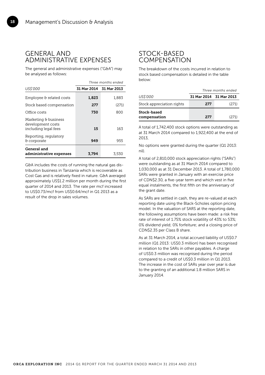### GENERAL AND ADMINISTRATIVE EXPENSES

The general and administrative expenses ("G&A") may be analysed as follows:

|                                                                   | Three months ended      |       |
|-------------------------------------------------------------------|-------------------------|-------|
| US\$'000                                                          | 31 Mar 2014 31 Mar 2013 |       |
| Employee & related costs                                          | 1,823                   | 1,883 |
| Stock based compensation                                          | 277                     | (271) |
| Office costs                                                      | 730                     | 800   |
| Marketing & business<br>development costs<br>including legal fees | 15                      | 163   |
| Reporting, regulatory<br>& corporate                              | 949                     | 955   |
| General and<br>administrative expenses                            | 3.794                   | 3,530 |

G&A includes the costs of running the natural gas distribution business in Tanzania which is recoverable as Cost Gas and is relatively fixed in nature. G&A averaged approximately US\$1.2 million per month during the first quarter of 2014 and 2013. The rate per mcf increased to US\$0.73/mcf from US\$0.64/mcf in Q1 2013 as a result of the drop in sales volumes.

### STOCK-BASED **COMPENSATION**

The breakdown of the costs incurred in relation to stock based compensation is detailed in the table below:

|                             | Three months ended      |       |  |  |
|-----------------------------|-------------------------|-------|--|--|
| US\$'000                    | 31 Mar 2014 31 Mar 2013 |       |  |  |
| Stock appreciation rights   | 277                     | (271) |  |  |
| Stock-based<br>compensation | 277                     | (271) |  |  |

A total of 1,742,400 stock options were outstanding as at 31 March 2014 compared to 1,922,400 at the end of 2013,

No options were granted during the quarter (Q1 2013: nil).

A total of 2,810,000 stock appreciation rights ("SARs") were outstanding as at 31 March 2014 compared to 1,030,000 as at 31 December 2013. A total of 1,780,000 SARs were granted in January with an exercise price of CDN\$2.30, a five-year term and which vest in five equal instalments, the first fifth on the anniversary of the grant date.

As SARs are settled in cash, they are re-valued at each reporting date using the Black-Scholes option pricing model. In the valuation of SARS at the reporting date, the following assumptions have been made: a risk free rate of interest of 1.75% stock volatility of 43% to 53%; 0% dividend yield; 0% forfeiture; and a closing price of CDN\$2.35 per Class B share.

As at 31 March 2014, a total accrued liability of US\$0.7 million (Q1 2013: US\$0.3 million) has been recognised in relation to the SARs in other payables. A charge of US\$0.3 million was recognised during the period compared to a credit of US\$0.3 million in Q1 2013. The increase in the cost of SARs year over year is due to the granting of an additional 1.8 million SARS in January 2014.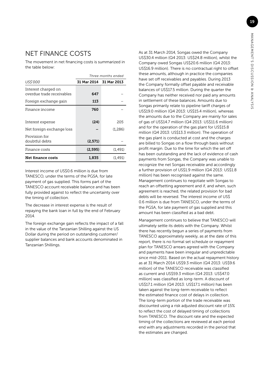# NET FINANCE COSTS

The movement in net financing costs is summarized in the table below:

|                                                  | Three months ended      |         |  |  |
|--------------------------------------------------|-------------------------|---------|--|--|
| US\$'000                                         | 31 Mar 2014 31 Mar 2013 |         |  |  |
| Interest charged on<br>overdue trade receivables | 647                     |         |  |  |
| Foreign exchange gain                            | 113                     |         |  |  |
| Finance income                                   | 760                     |         |  |  |
|                                                  |                         |         |  |  |
| Interest expense                                 | (24)                    | 205     |  |  |
| Net foreign exchange loss                        |                         | (1,286) |  |  |
| Provision for                                    |                         |         |  |  |
| doubtful debts                                   | (2,571)                 |         |  |  |
| Finance costs                                    | (2,595)                 | (1,491) |  |  |
| Net finance costs                                | (1,491)<br>1.835        |         |  |  |

Interest income of US\$0.6 million is due from TANESCO, under the terms of the PGSA, for late payment of gas supplied. This forms part of the TANESCO account receivable balance and has been fully provided against to reflect the uncertainty over the timing of collection.

Ī

The decrease in interest expense is the result of repaying the bank loan in full by the end of February 2014.

The foreign exchange gain reflects the impact of a fall in the value of the Tanzanian Shilling against the US Dollar during the period on outstanding customer/ supplier balances and bank accounts denominated in Tanzanian Shillings.

As at 31 March 2014, Songas owed the Company US\$30.4 million (Q4 2013: US\$24.8 million), whilst the Company owed Songas US\$20.6 million (Q4 2013: US\$16.9 million). There is no contractual right to offset these amounts, although in practice the companies have set off receivables and payables. During 2013 the Company formally offset payable and receivable balances of US\$17.5 million. During the quarter the Company has neither received nor paid any amounts in settlement of these balances. Amounts due to Songas primarily relate to pipeline tariff charges of US\$19.0 million (Q4 2013: US\$15.4 million), whereas the amounts due to the Company are mainly for sales of gas of US\$14.7 million (Q4 2013: US\$11.6 million) and for the operation of the gas plant for US\$15.8 million (Q4 2013: US\$13.3 million). The operation of the gas plant is conducted at cost and the charges are billed to Songas on a flow through basis without profit margin. Due to the time for which the set off has been outstanding and the lack of evidence of cash payments from Songas, the Company was unable to recognize the net Songas receivable and accordingly a further provision of US\$1.9 million (Q4 2013: US\$1.8 million) has been recognised against the same. Management continues to negotiate with Songas to reach an offsetting agreement and if, and when, such agreement is reached, the related provision for bad debts will be reversed. The interest income of US\$ 0.6 million is due from TANESCO, under the terms of the PGSA, for late payment of gas supplied and this amount has been classified as a bad debt.

Management continues to believe that TANESCO will ultimately settle its debts with the Company. Whilst there has recently begun a series of payments from TANESCO approximately weekly, as at the date of this report, there is no formal set schedule or repayment plan for TANESCO arrears agreed with the Company and payments have been irregular and unpredictable since mid-2011. Based on the actual repayment history as at 31 March 2014 US\$9.3 million (Q4 2013: US\$9.6 million) of the TANESCO receivable was classified as current and US\$59.3 million (Q4 2013: US\$47.0 million) was classified as long-term. A discount of US\$17.1 million (Q4 2013: US\$17.1 million) has been taken against the long-term receivable to reflect the estimated finance cost of delays in collection. The long-term portion of the trade receivable was discounted using a risk adjusted discount rate of 15% to reflect the cost of delayed timing of collections from TANESCO. The discount rate and the expected timing of the collections are reviewed at each period end with any adjustments recorded in the period that the estimates are changed.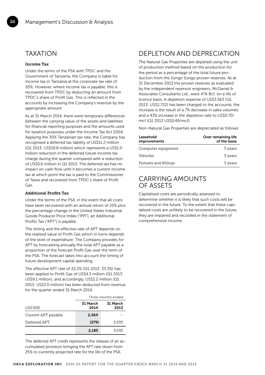### TAXATION

### Income Tax

20

Under the terms of the PSA with TPDC and the Government of Tanzania, the Company is liable for income tax in Tanzania at the corporate tax rate of 30%. However, where income tax is payable, this is recovered from TPDC by deducting an amount from TPDC's share of Profit Gas. This is reflected in the accounts by increasing the Company's revenue by the appropriate amount.

As at 31 March 2014, there were temporary differences between the carrying value of the assets and liabilities for financial reporting purposes and the amounts used for taxation purposes under the Income Tax Act 2004. Applying the 30% Tanzanian tax rate, the Company has recognised a deferred tax liability of US\$11.2 million (Q1 2013: US\$19.8 million) which represents a US\$1.0 million reduction in the deferred future income tax charge during the quarter compared with a reduction of US\$0.6 million in Q1 2013. The deferred tax has no impact on cash flow until it becomes a current income tax at which point the tax is paid to the Commissioner of Taxes and recovered from TPDC's share of Profit Gas.

### Additional Profits Tax

Under the terms of the PSA, in the event that all costs have been recovered with an annual return of 25% plus the percentage change in the United States Industrial Goods Producer Price Index ("PPI"), an Additional Profits Tax ("APT") is payable.

The timing and the effective rate of APT depends on the realised value of Profit Gas which in turns depends of the level of expenditure. The Company provides for APT by forecasting annually the total APT payable as a proportion of the forecast Profit Gas over the term of the PSA. The forecast takes into account the timing of future development capital spending.

The effective APT rate of 22.2% (Q1 2013: 33.3%) has been applied to Profit Gas of US\$4.3 million (Q1 2013: US\$9.1 million), and accordingly, US\$2.2 million (Q1 2013: US\$3.0 million) has been deducted from revenue for the quarter ended 31 March 2014.

|                     | Three months ended                   |       |  |  |
|---------------------|--------------------------------------|-------|--|--|
| US\$'000            | 31 March<br>31 March<br>2014<br>2013 |       |  |  |
| Current APT payable | 2.464                                |       |  |  |
| Deferred APT        | (279)                                | 3,035 |  |  |
|                     | 2.185                                | 3.035 |  |  |

The deferred APT credit represents the release of an accumulated provision bringing the APT rate down from 25% to currently projected rate for the life of the PSA.

# DEPLETION AND DEPRECIATION

The Natural Gas Properties are depleted using the unit of production method based on the production for the period as a percentage of the total future production from the Songo Songo proven reserves. As at 31 December 2013 the proven reserves as evaluated by the independent reservoir engineers, McDaniel & Associates Consultants Ltd., were 476 Bcf, on a life of licence basis. A depletion expense of US\$3,563 (Q1 2013: US\$2,722) has been charged to the accounts, the increase is the result of a 7% decrease in sales volumes and a 43% increase in the depletion rate to US\$0.70/ mcf (Q1 2013 US\$0.49/mcf).

Non-Natural Gas Properties are depreciated as follows:

| Leasehold<br><b>improvements</b> | Over remaining life<br>of the lease |
|----------------------------------|-------------------------------------|
| Computer equipment               | 3 years                             |
| Vehicles                         | 3 years                             |
| Fixtures and fittings            | 3 years                             |

### CARRYING AMOUNTS OF ASSETS

Capitalised costs are periodically assessed to determine whether it is likely that such costs will be recovered in the future. To the extent that these capitalised costs are unlikely to be recovered in the future, they are impaired and recorded in the statement of comprehensive income.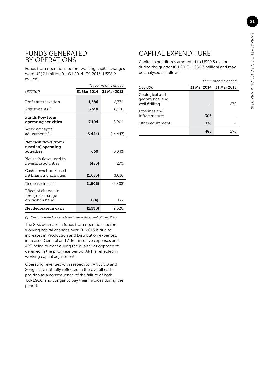### FUNDS GENERATED BY OPERATIONS

Funds from operations before working capital changes were US\$7.1 million for Q1 2014 (Q1 2013: US\$8.9 million).

|                                                            | Three months ended |             |  |  |  |
|------------------------------------------------------------|--------------------|-------------|--|--|--|
| <i>US\$'000</i>                                            | 31 Mar 2014        | 31 Mar 2013 |  |  |  |
| Profit after taxation                                      | 1,586              | 2.774       |  |  |  |
| Adjustments (1)                                            | 5,518              | 6,130       |  |  |  |
| <b>Funds flow from</b><br>operating activities             | 7.104              | 8,904       |  |  |  |
| Working capital<br>adjustments <sup>(1)</sup>              | (6.444)            | (14,447)    |  |  |  |
| Net cash flows from/<br>(used in) operating<br>activities  | 660                | (5,543)     |  |  |  |
| Net cash flows used in<br>investing activities             | (483)              | (270)       |  |  |  |
| Cash flows from/(used<br>in) financing activities          | (1,683)            | 3,010       |  |  |  |
| Decrease in cash                                           | (1,506)            | (2,803)     |  |  |  |
| Effect of change in<br>foreign exchange<br>on cash in hand | (24)               | 177         |  |  |  |
| Net decrease in cash                                       | (1,530)            | (2,626)     |  |  |  |

*(1) See condensed consolidated interim statement of cash flows*

The 20% decrease in funds from operations before working capital changes over Q1 2013 is due to increases in Production and Distribution expenses, increased General and Administrative expenses and APT being current during the quarter as opposed to deferred in the prior year period. APT is reflected in working capital adjustments.

Operating revenues with respect to TANESCO and Songas are not fully reflected in the overall cash position as a consequence of the failure of both TANESCO and Songas to pay their invoices during the period.

## CAPITAL EXPENDITURE

Capital expenditures amounted to US\$0.5 million during the quarter (Q1 2013: US\$0.3 million) and may be analysed as follows:

|                                                    | Three months ended      |      |  |  |  |
|----------------------------------------------------|-------------------------|------|--|--|--|
| US\$'000                                           | 31 Mar 2014 31 Mar 2013 |      |  |  |  |
| Geological and<br>geophysical and<br>well drilling |                         | 2.70 |  |  |  |
| Pipelines and<br>infrastructure                    | 305                     |      |  |  |  |
| Other equipment                                    | 178                     |      |  |  |  |
|                                                    | 483                     | 270  |  |  |  |

21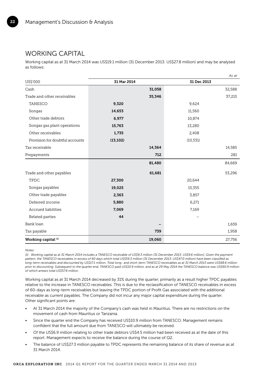### WORKING CAPITAL

22

Working capital as at 31 March 2014 was US\$19.1 million (31 December 2013: US\$27.8 million) and may be analysed as follows:

|                                 |             | As at       |
|---------------------------------|-------------|-------------|
| US\$'000                        | 31 Mar 2014 | 31 Dec 2013 |
| Cash                            | 31,058      | 32,588      |
| Trade and other receivables     | 35,346      | 37,215      |
| TANESCO                         | 9,320       | 9,624       |
| Songas                          | 14,653      | 11,560      |
| Other trade debtors             | 6,977       | 10,874      |
| Songas gas plant operations     | 15,763      | 13,280      |
| Other receivables               | 1,735       | 2,408       |
| Provision for doubtful accounts | (13, 102)   | (10, 531)   |
| Tax receivable                  | 14,364      | 14,585      |
| Prepayments                     | 712         | 281         |
|                                 | 81,480      | 84,669      |
| Trade and other payables        | 61,681      | 53,296      |
| TPDC                            | 27,300      | 20,644      |
| Songas payables                 | 19,025      | 15,355      |
| Other trade payables            | 2,363       | 3,857       |
| Deferred income                 | 5,880       | 6,271       |
| Accrued liabilities             | 7,069       | 7,169       |
| Related parties                 | 44          |             |
| Bank loan                       |             | 1,659       |
| Tax payable                     | 739         | 1,958       |
| Working capital <sup>(1)</sup>  | 19,060      | 27,756      |

*Notes:*

*(1) Working capital as at 31 March 2014 includes a TANESCO receivable of US\$9.3 million (31 December 2013: US\$9.6 million). Given the payment pattern, the TANESCO receivables in excess of 60 days which total US\$59.3 million (31 December 2013: US\$47.0 million) have been classified as long-term receivables and discounted by US\$17.1 million. Total long- and short-term TANESCO receivables as at 31 March 2013 were US\$68.6 million prior to discounting. Subsequent to the quarter end, TANESCO paid US\$10.9 million, and as at 29 May 2014 the TANESCO balance was US\$60.9 million of which arrears total US\$57.6 million.*

Working capital as at 31 March 2014 decreased by 31% during the quarter, primarily as a result higher TPDC payables relative to the increase in TANESCO receivables. This is due to the reclassification of TANESCO receivables in excess of 60-days as long-term receivables but leaving the TPDC portion of Profit Gas associated with the additional receivable as current payables. The Company did not incur any major capital expenditure during the quarter. Other significant points are:

- At 31 March 2014 the majority of the Company's cash was held in Mauritius. There are no restrictions on the movement of cash from Mauritius or Tanzania.
- Since the quarter end the Company has received US\$10.9 million from TANESCO. Management remains confident that the full amount due from TANESCO will ultimately be received.
- Of the US\$6.9 million relating to other trade debtors US\$4.5 million had been received as at the date of this report. Management expects to receive the balance during the course of Q2.
- The balance of US\$27.3 million payable to TPDC represents the remaining balance of its share of revenue as at 31 March 2014.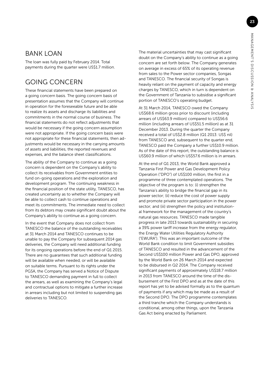### **BANK LOAN**

The loan was fully paid by February 2014. Total payments during the quarter were US\$1.7 million.

# GOING CONCERN

These financial statements have been prepared on a going concern basis. The going concern basis of presentation assumes that the Company will continue in operation for the foreseeable future and be able to realize its assets and discharge its liabilities and commitments in the normal course of business. The financial statements do not reflect adjustments that would be necessary if the going concern assumption were not appropriate. If the going concern basis were not appropriate for these financial statements, then adjustments would be necessary in the carrying amounts of assets and liabilities, the reported revenues and expenses, and the balance sheet classifications.

The ability of the Company to continue as a going concern is dependent on the Company's ability to collect its receivables from Government entities to fund on-going operations and the exploration and development program. The continuing weakness in the financial position of the state utility, TANESCO, has created uncertainty as to whether the Company will be able to collect cash to continue operations and meet its commitments. The immediate need to collect from its debtors may create significant doubt about the Company's ability to continue as a going concern.

In the event that Company does not collect from TANESCO the balance of the outstanding receivables at 31 March 2014 and TANESCO continues to be unable to pay the Company for subsequent 2014 gas deliveries, the Company will need additional funding for its ongoing operations before the end of Q1 2015. There are no guarantees that such additional funding will be available when needed, or will be available on suitable terms. Pursuant to its rights under the PGSA, the Company has served a Notice of Dispute to TANESCO demanding payment in full to collect the arrears, as well as examining the Company's legal and contractual options to mitigate a further increase in arrears including but not limited to suspending gas deliveries to TANESCO.

The material uncertainties that may cast significant doubt on the Company's ability to continue as a going concern are set forth below. The Company generates on average in excess of 65% of its operating revenue from sales to the Power sector companies, Songas and TANESCO. The financial security of Songas is heavily reliant on the payment of capacity and energy charges by TANESCO, which in turn is dependent on the Government of Tanzania to subsidise a significant portion of TANESCO's operating budget.

At 31 March 2014, TANESCO owed the Company US\$68.6 million gross prior to discount (including arrears of US\$63.9 million) compared to US\$56.6 million (including arrears of US\$51.5 million) as at 31 December 2013. During the quarter the Company received a total of US\$2.8 million (Q1 2013: US\$ nil) from TANESCO and, subsequent to the quarter end, TANESCO paid the Company a further US\$10.9 million. As of the date of this report, the outstanding balance is US\$60.9 million of which US\$57.6 million is in arrears.

At the end of Q1 2013, the World Bank approved a Tanzania First Power and Gas Development Policy Operation ("DPO") of US\$100 million, the first in a programme of three contemplated operations. The objective of the program is to: (i) strengthen the Tanzania's ability to bridge the financial gap in its power sector; (ii) reduce the cost of power supply and promote private sector participation in the power sector; and (iii) strengthen the policy and institutional framework for the management of the country's natural gas resources. TANESCO made tangible progress in late 2013 towards sustainability in securing a 39% power tariff increase from the energy regulator, the Energy Water Utilities Regulatory Authority ("EWURA"). This was an important outcome of the World Bank condition to limit Government subsidies of TANESCO and resulted in the advancement of the Second US\$100 million Power and Gas DPO, approved by the World Bank on 26 March 2014 and expected to be disbursed in Q2 2014. The Company received significant payments of approximately US\$18.7 million in 2013 from TANESCO around the time of the disbursement of the First DPO and as at the date of this report has yet to be advised formally as to the quantum of payments if any which may be made as a result of the Second DPO. The DPO programme contemplates a third tranche which the Company understands is conditional, among other things, upon the Tanzania Gas Act being enacted by Parliament.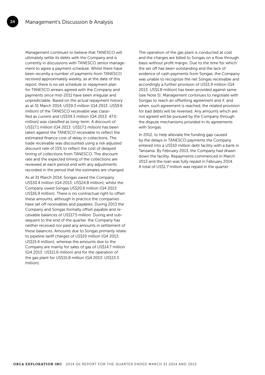24

Management continues to believe that TANESCO will ultimately settle its debts with the Company and is currently in discussions with TANESCO senior management to agree a payment schedule. Whilst there have been recently a number of payments from TANESCO received approximately weekly, as at the date of this report, there is no set schedule or repayment plan for TANESCO arrears agreed with the Company and payments since mid-2011 have been irregular and unpredictable. Based on the actual repayment history as at 31 March 2014, US\$9.3 million (Q4 2013: US\$9.6 million) of the TANESCO receivable was classified as current and US\$59.3 million (Q4 2013: 47.0 million) was classified as long-term. A discount of US\$17.1 million (Q4 2013: US\$17.1 million) has been taken against the TANESCO receivable to reflect the estimated finance cost of delay in collections. The trade receivable was discounted using a risk adjusted discount rate of 15% to reflect the cost of delayed timing of collections from TANESCO. The discount rate and the expected timing of the collections are reviewed at each period end with any adjustments recorded in the period that the estimates are changed.

As at 31 March 2014, Songas owed the Company US\$30.4 million (Q4 2013: US\$24.8 million), whilst the Company owed Songas US\$20.6 million (Q4 2013: US\$16.9 million). There is no contractual right to offset these amounts, although in practice the companies have set off receivables and payables. During 2013 the Company and Songas formally offset payable and receivable balances of US\$17.5 million. During and subsequent to the end of the quarter, the Company has neither received nor paid any amounts in settlement of these balances. Amounts due to Songas primarily relate to pipeline tariff charges of US\$19 million (Q4 2013: US\$15.4 million), whereas the amounts due to the Company are mainly for sales of gas of US\$14.7 million (Q4 2013: US\$11.6 million) and for the operation of the gas plant for US\$15.8 million (Q4 2013: US\$13.3 million).

The operation of the gas plant is conducted at cost and the charges are billed to Songas on a flow through basis without profit margin. Due to the time for which the set off has been outstanding and the lack of evidence of cash payments from Songas, the Company was unable to recognize the net Songas receivable and accordingly a further provision of US\$1.9 million (Q4 2013: US\$1.8 million) has been provided against same (see Note 5). Management continues to negotiate with Songas to reach an offsetting agreement and if, and when, such agreement is reached, the related provision for bad debts will be reversed. Any amounts which are not agreed will be pursued by the Company through the dispute mechanisms provided in its agreements with Songas.

In 2012, to help alleviate the funding gap caused by the delays in TANESCO payments the Company entered into a US\$10 million debt facility with a bank in Tanzania. By February 2013, the Company had drawn down the facility. Repayments commenced in March 2013 and the loan was fully repaid in February 2014. A total of US\$1.7 million was repaid in the quarter.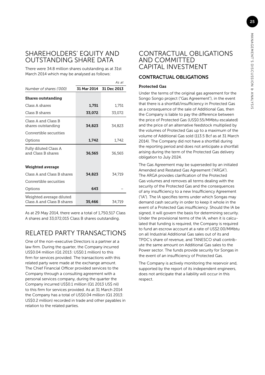### SHAREHOLDERS' EQUITY AND OUTSTANDING SHARE DATA

There were 34.8 million shares outstanding as at 31st March 2014 which may be analysed as follows:

|                                                        |             | As at       |
|--------------------------------------------------------|-------------|-------------|
| Number of shares ('000)                                | 31 Mar 2014 | 31 Dec 2013 |
| <b>Shares outstanding</b>                              |             |             |
| Class A shares                                         | 1.751       | 1,751       |
| Class B shares                                         | 33,072      | 33,072      |
| Class A and Class B<br>shares outstanding              | 34.823      | 34.823      |
| Convertible securities                                 |             |             |
| Options                                                | 1,742       | 1,742       |
| Fully diluted Class A<br>and Class B shares            | 36.565      | 36,565      |
| Weighted average                                       |             |             |
| Class A and Class B shares                             | 34,823      | 34,719      |
| Convertible securities                                 |             |             |
| Options                                                | 643         |             |
| Weighted average diluted<br>Class A and Class B shares | 35,466      | 34,719      |

As at 29 May 2014, there were a total of 1,750,517 Class A shares and 33,072,015 Class B shares outstanding.

# RELATED PARTY TRANSACTIONS

One of the non-executive Directors is a partner at a law firm. During the quarter, the Company incurred US\$0.04 million (Q1 2013: US\$0.1 million) to this firm for services provided. The transactions with this related party were made at the exchange amount. The Chief Financial Officer provided services to the Company through a consulting agreement with a personal services company, during the quarter the Company incurred US\$0.1 million (Q1 2013 US\$ nil) to this firm for services provided. As at 31 March 2014 the Company has a total of US\$0.04 million (Q1 2013: US\$0.2 million) recorded in trade and other payables in relation to the related parties.

### CONTRACTUAL OBLIGATIONS AND COMMITTED CAPITAL INVESTMENT

### CONTRACTUAL OBLIGATIONS

### Protected Gas

Under the terms of the original gas agreement for the Songo Songo project ("Gas Agreement"), in the event that there is a shortfall/insufficiency in Protected Gas as a consequence of the sale of Additional Gas, then the Company is liable to pay the difference between the price of Protected Gas (US\$0.55/MMbtu escalated) and the price of an alternative feedstock multiplied by the volumes of Protected Gas up to a maximum of the volume of Additional Gas sold (113.5 Bcf as at 31 March 2014). The Company did not have a shortfall during the reporting period and does not anticipate a shortfall arising during the term of the Protected Gas delivery obligation to July 2024.

The Gas Agreement may be superseded by an initialed Amended and Restated Gas Agreement ("ARGA"). The ARGA provides clarification of the Protected Gas volumes and removes all terms dealing with the security of the Protected Gas and the consequences of any insufficiency to a new Insufficiency Agreement ("IA"). The IA specifies terms under which Songas may demand cash security in order to keep it whole in the event of a Protected Gas insufficiency. Should the IA be signed, it will govern the basis for determining security. Under the provisional terms of the IA, when it is calculated that funding is required, the Company is required to fund an escrow account at a rate of US\$2.00/MMbtu on all Industrial Additional Gas sales out of its and TPDC's share of revenue, and TANESCO shall contribute the same amount on Additional Gas sales to the Power sector. The funds provide security for Songas in the event of an insufficiency of Protected Gas.

The Company is actively monitoring the reservoir and, supported by the report of its independent engineers, does not anticipate that a liability will occur in this respect.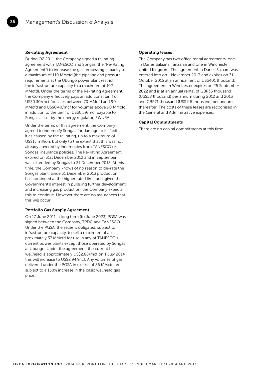#### Re-rating Agreement

26

During Q2 2011, the Company signed a re-rating agreement with TANESCO and Songas (the "Re-Rating Agreement") to increase the gas processing capacity to a maximum of 110 MMcfd (the pipeline and pressure requirements at the Ubungo power plant restrict the infrastructure capacity to a maximum of 102 MMcfd). Under the terms of the Re-rating Agreement, the Company effectively pays an additional tariff of US\$0.30/mcf for sales between 70 MMcfd and 90 MMcfd and US\$0.40/mcf for volumes above 90 MMcfd in addition to the tariff of US\$0.59/mcf payable to Songas as set by the energy regulator, EWURA.

Under the terms of this agreement, the Company agreed to indemnify Songas for damage to its facilities caused by the re-rating, up to a maximum of US\$15 million, but only to the extent that this was not already covered by indemnities from TANESCO or Songas' insurance policies. The Re-rating Agreement expired on 31st December 2012 and in September was extended by Songas to 31 December 2013. At this time, the Company knows of no reason to de-rate the Songas plant. Since 31 December 2013 production has continued at the higher rated limit and, given the Government's interest in pursuing further development and increasing gas production, the Company expects this to continue. However there are no assurances that this will occur.

#### Portfolio Gas Supply Agreement

On 17 June 2011, a long term (to June 2023) PGSA was signed between the Company, TPDC and TANESCO. Under the PGSA, the seller is obligated, subject to infrastructure capacity, to sell a maximum of approximately 37 MMcfd for use in any of TANESCO's current power plants except those operated by Songas at Ubungo. Under the agreement, the current basic wellhead is approximately US\$2.88/mcf on 1 July 2014 this will increase to US\$2.94/mcf. Any volumes of gas delivered under the PGSA in excess of 36 MMcfd are subject to a 150% increase in the basic wellhead gas price.

#### Operating leases

The Company has two office rental agreements, one in Dar es Salaam, Tanzania and one in Winchester, United Kingdom. The agreement in Dar es Salaam was entered into on 1 November 2013 and expires on 31 October 2015 at an annual rent of US\$401 thousand. The agreement in Winchester expires on 25 September 2022 and is at an annual rental of GBP35 thousand (US\$58 thousand) per annum during 2012 and 2013 and GBP71 thousand (US\$115 thousand) per annum thereafter. The costs of these leases are recognised in the General and Administrative expenses.

#### Capital Commitments

There are no capital commitments at this time.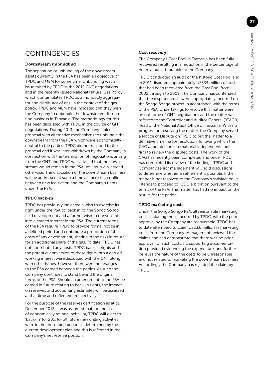# **CONTINGENCIES**

### Downstream unbundling

The separation or unbundling of the downstream assets currently in the PSA has been an objective of TPDC and MEM for some time. Unbundling was an issue raised by TPDC in the 2012 GNT negotiations and in the recently issued National Natural Gas Policy which contemplates TPDC as a monopoly aggregator and distributor of gas. In the context of the gas policy, TPDC and MEM have indicated that they wish the Company to unbundle the downstream distribution business in Tanzania. The methodology for this has been discussed with TPDC in the course of GNT negotiations. During 2013, the Company tabled a proposal with alternative mechanisms to unbundle the downstream from the PSA which were economically neutral to the parties. TPDC did not respond to the proposal and it was later withdrawn by the Company in connection with the termination of negotiations arising from the GNT and TPDC was advised that the downstream would remain in the PSA until mutually agreed otherwise. The disposition of the downstream business will be addressed at such a time as there is a conflict between new legislation and the Company's rights under the PSA.

### TPDC back-in

TPDC has previously indicated a wish to exercise its right under the PSA to 'back in' to the Songo Songo field development and a further wish to convert this into a carried interest in the PSA. The current terms of the PSA require TPDC to provide formal notice in a defined period and contribute a proportion of the costs of any development, sharing in the risks in return for an additional share of the gas. To date, TPDC has not contributed any costs. TPDC back-in rights and the potential conversion of these rights into a carried working interest were discussed with the GNT along with other issues, however there were no changes to the PSA agreed between the parties. As such the Company continues to stand behind the original terms of the PSA. Should an amendment to the PSA be agreed in future relating to back-in rights, the impact on reserves and accounting estimates will be assessed at that time and reflected prospectively.

For the purpose of the reserves certification as at 31 December 2013, it was assumed that, on the basis of economically rational behavior, TPDC will elect to 'back-in' for 20% for all future new drilling activities with-in the prescribed period as determined by the current development plan and this is reflected in the Company's net reserve position.

### Cost recovery

The Company's Cost Pool in Tanzania has been fully recovered resulting in a reduction in the percentage of net revenue attributable to the Company.

TPDC conducted an audit of the historic Cost Pool and in 2011 disputed approximately US\$34 million of costs that had been recovered from the Cost Pool from 2002 through to 2009. The Company has contended that the disputed costs were appropriately incurred on the Songo Songo project in accordance with the terms of the PSA. Undertakings to resolve this matter were an outcome of GNT negotiations and the matter was referred to the Controller and Auditor General ("CAG"), head of the National Audit Office of Tanzania. With no progress on resolving the matter, the Company served a Notice of Dispute on TPDC to put the matter to a definitive timeline for resolution, following which the CAG appointed an international independent audit firm to review the disputed costs. The work of the CAG has recently been completed and once TPDC has completed its review of the findings, TPDC and Company senior management will hold discussions to determine whether a settlement is possible. If the matter is not resolved to the Company's satisfaction, it intends to proceed to ICSID arbitration pursuant to the terms of the PSA. This matter has had no impact on the results for the period.

### TPDC marketing costs

Under the Songo Songo PSA, all reasonable marketing costs including those incurred by TPDC, with the prior approval by the Company are recoverable. TPDC has to date attempted to claim US\$3.6 million in marketing costs from the Company. Management reviewed the claims and can demonstrate that there was no prior approval for such costs, no supporting documentation provided evidencing the expenditure, and further believes the nature of the costs to be unreasonable and not related to marketing the downstream business. Accordingly the Company has rejected the claim by TPDC.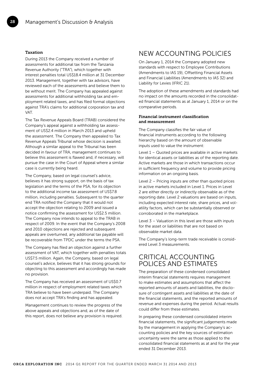#### Taxation

28

During 2013 the Company received a number of assessments for additional tax from the Tanzania Revenue Authority ("TRA"), which together with interest penalties total US\$18.4 million at 31 December 2013. Management, together with tax advisors, have reviewed each of the assessments and believe them to be without merit. The Company has appealed against assessments for additional withholding tax and employment related taxes, and has filed formal objections against TRA's claims for additional corporation tax and VAT.

The Tax Revenue Appeals Board (TRAB) considered the Company's appeal against a withholding tax assessment of US\$2.4 million in March 2013 and upheld the assessment. The Company then appealed to Tax Revenue Appeals Tribunal whose decision is awaited. Although a similar appeal to the Tribunal has been decided in favour of TRA, management continues to believe this assessment is flawed and, if necessary, will pursue the case in the Court of Appeal where a similar case is currently being heard.

The Company, based on legal counsel's advice, believes it has strong support, on the basis of tax legislation and the terms of the PSA, for its objection to the additional income tax assessment of US\$7.8 million, including penalties. Subsequent to the quarter end TRA notified the Company that it would not accept the objection relating to 2009 and issued a notice confirming the assessment for US\$2.5 million. The Company now intends to appeal to the TRAB in respect of 2009. In the event that the Company's 2008 and 2010 objections are rejected and subsequent appeals are overturned, any additional tax payable will be recoverable from TPDC under the terms the PSA.

The Company has filed an objection against a further assessment of VAT, which together with penalties totals US\$7.5 million. Again, the Company, based on legal counsel's advice, believes that it has strong grounds for objecting to this assessment and accordingly has made no provision.

The Company has received an assessment of US\$0.7 million in respect of employment related taxes which TRA believe to have been underpaid. The Company does not accept TRA's finding and has appealed.

Management continues to review the progress of the above appeals and objections and, as of the date of this report, does not believe any provision is required.

### NEW ACCOUNTING POLICIES

On January 1, 2014 the Company adopted new standards with respect to Employee Contributions (Amendments to IAS 19), Offsetting Financial Assets and Financial Liabilities (Amendments to IAS 32) and Liability for Levies (IFRIC 21).

The adoption of these amendments and standards had no impact on the amounts recorded in the consolidated financial statements as at January 1, 2014 or on the comparative periods.

#### Financial instrument classification and measurement

The Company classifies the fair value of financial instruments according to the following hierarchy based on the amount of observable inputs used to value the instrument:

Level 1 – Quoted prices are available in active markets for identical assets or liabilities as of the reporting date. Active markets are those in which transactions occur in sufficient frequency and volume to provide pricing information on an ongoing basis.

Level 2 – Pricing inputs are other than quoted prices in active markets included in Level 1. Prices in Level 2 are either directly or indirectly observable as of the reporting date. Level 2 valuations are based on inputs, including expected interest rate, share prices, and volatility factors, which can be substantially observed or corroborated in the marketplace.

Level 3 – Valuation in this level are those with inputs for the asset or liabilities that are not based on observable market data.

The Company's long-term trade receivable is considered Level 3 measurements.

### CRITICAL ACCOUNTING POLICES AND ESTIMATES

The preparation of these condensed consolidated interim financial statements requires management to make estimates and assumptions that affect the reported amounts of assets and liabilities, the disclosure of contingent assets and liabilities at the date of the financial statements, and the reported amounts of revenue and expenses during the period. Actual results could differ from these estimates.

In preparing these condensed consolidated interim financial statements, the significant judgements made by the management in applying the Company's accounting policies and the key sources of estimation uncertainty were the same as those applied to the consolidated financial statements as at and for the year ended 31 December 2013.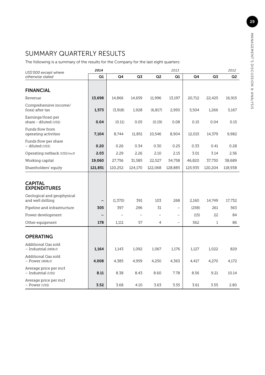# SUMMARY QUARTERLY RESULTS

The following is a summary of the results for the Company for the last eight quarters:

| US\$'000 except where                           | 2014    |          |         |                          | 2013     |         |              | 2012    |
|-------------------------------------------------|---------|----------|---------|--------------------------|----------|---------|--------------|---------|
| otherwise stated                                | Q1      | Q4       | Q3      | Q <sub>2</sub>           | Q1       | Q4      | Q3           | Q2      |
| <b>FINANCIAL</b>                                |         |          |         |                          |          |         |              |         |
| Revenue                                         | 13,698  | 14,866   | 14,659  | 11,996                   | 13,197   | 20,712  | 22,425       | 16,915  |
| Comprehensive income/<br>(loss) after tax       | 1,573   | (3,918)  | 1,928   | (6, 817)                 | 2,950    | 5,504   | 1,266        | 5,167   |
| Earnings/(loss) per<br>share - diluted (US\$)   | 0.04    | (0.11)   | 0.05    | (0.19)                   | 0.08     | 0.15    | 0.04         | 0.15    |
| Funds flow from<br>operating activities         | 7,104   | 8,744    | 11,851  | 10,546                   | 8,904    | 12,015  | 14,379       | 9,982   |
| Funds flow per share<br>- diluted (US\$)        | 0.20    | 0.26     | 0.34    | 0.30                     | 0.25     | 0.33    | 0.41         | 0.28    |
| Operating netback (US\$/mcf)                    | 2.03    | 2.29     | 2.26    | 2.10                     | 2.15     | 3.01    | 3.14         | 2.56    |
| Working capital                                 | 19,060  | 27,756   | 31,585  | 22,527                   | 54,758   | 46,820  | 37,730       | 38,689  |
| Shareholders' equity                            | 121,851 | 120,252  | 124,170 | 122,068                  | 128,885  | 125,935 | 120,204      | 118,938 |
| <b>CAPITAL</b><br><b>EXPENDITURES</b>           |         |          |         |                          |          |         |              |         |
| Geological and geophysical<br>and well drilling |         | (1, 370) | 391     | 103                      | 268      | 2,160   | 14,749       | 17,732  |
| Pipeline and infrastructure                     | 305     | 397      | 296     | 31                       |          | (258)   | 261          | 563     |
| Power development                               |         |          |         | $\overline{\phantom{0}}$ |          | (15)    | 22           | 84      |
| Other equipment                                 | 178     | 1,111    | 57      | 4                        | $\equiv$ | 562     | $\mathbf{1}$ | 86      |
| <b>OPERATING</b>                                |         |          |         |                          |          |         |              |         |
| Additional Gas sold<br>- Industrial (MMcf)      | 1,164   | 1,143    | 1,092   | 1,067                    | 1,176    | 1,127   | 1,022        | 829     |
| Additional Gas sold<br>- Power (MMcf)           | 4,008   | 4,385    | 4,959   | 4,250                    | 4,363    | 4,417   | 4,270        | 4,172   |
| Average price per mcf<br>- Industrial (US\$)    | 8.11    | 8.38     | 8.43    | 8.60                     | 7.78     | 8.56    | 9.21         | 10.14   |
| Average price per mcf<br>- Power (US\$)         | 3.52    | 3.68     | 4.10    | 3.63                     | 3.55     | 3.61    | 3.55         | 2.80    |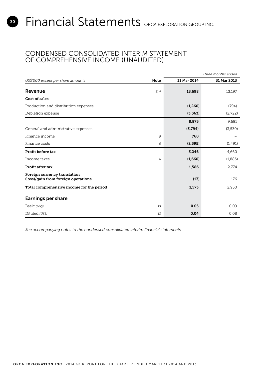### CONDENSED CONSOLIDATED INTERIM STATEMENT OF COMPREHENSIVE INCOME (UNAUDITED)

|                                                                     |             |             | Three months ended |
|---------------------------------------------------------------------|-------------|-------------|--------------------|
| US\$'000 except per share amounts                                   | <b>Note</b> | 31 Mar 2014 | 31 Mar 2013        |
| Revenue                                                             | 3, 4        | 13,698      | 13,197             |
| Cost of sales                                                       |             |             |                    |
| Production and distribution expenses                                |             | (1, 260)    | (794)              |
| Depletion expense                                                   |             | (3, 563)    | (2,722)            |
|                                                                     |             | 8,875       | 9,681              |
| General and administrative expenses                                 |             | (3,794)     | (3,530)            |
| Finance income                                                      | 5           | 760         |                    |
| Finance costs                                                       | 5           | (2, 595)    | (1, 491)           |
| Profit before tax                                                   |             | 3,246       | 4,660              |
| Income taxes                                                        | 6           | (1,660)     | (1,886)            |
| Profit after tax                                                    |             | 1,586       | 2,774              |
| Foreign currency translation<br>(loss)/gain from foreign operations |             | (13)        | 176                |
| Total comprehensive income for the period                           |             | 1,573       | 2,950              |
| <b>Earnings per share</b>                                           |             |             |                    |
| Basic (US\$)                                                        | 13          | 0.05        | 0.09               |
| Diluted (US\$)                                                      | 13          | 0.04        | 0.08               |

*See accompanying notes to the condensed consolidated interim financial statements.*

<span id="page-29-0"></span>30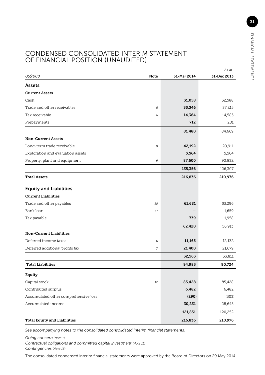### CONDENSED CONSOLIDATED INTERIM STATEMENT OF FINANCIAL POSITION (UNAUDITED)

|                                      |             |             | As at       |
|--------------------------------------|-------------|-------------|-------------|
| US\$'000                             | <b>Note</b> | 31-Mar 2014 | 31-Dec 2013 |
| <b>Assets</b>                        |             |             |             |
| <b>Current Assets</b>                |             |             |             |
| Cash                                 |             | 31,058      | 32,588      |
| Trade and other receivables          | 8           | 35,346      | 37,215      |
| Tax receivable                       | 6           | 14,364      | 14,585      |
| Prepayments                          |             | 712         | 281         |
|                                      |             | 81,480      | 84,669      |
| <b>Non-Current Assets</b>            |             |             |             |
| Long-term trade receivable           | 8           | 42,192      | 29,911      |
| Exploration and evaluation assets    |             | 5,564       | 5,564       |
| Property, plant and equipment        | 9           | 87,600      | 90,832      |
|                                      |             | 135,356     | 126,307     |
| <b>Total Assets</b>                  |             | 216,836     | 210,976     |
| <b>Equity and Liabilities</b>        |             |             |             |
| <b>Current Liabilities</b>           |             |             |             |
| Trade and other payables             | 10          | 61,681      | 53,296      |
| Bank loan                            | 11          |             | 1,659       |
| Tax payable                          |             | 739         | 1,958       |
|                                      |             | 62,420      | 56,913      |
| <b>Non-Current Liabilities</b>       |             |             |             |
| Deferred income taxes                | 6           | 11,165      | 12,132      |
| Deferred additional profits tax      | 7           | 21,400      | 21,679      |
|                                      |             | 32,565      | 33,811      |
| <b>Total Liabilities</b>             |             | 94,985      | 90,724      |
| Equity                               |             |             |             |
| Capital stock                        | 12          | 85,428      | 85,428      |
| Contributed surplus                  |             | 6,482       | 6,482       |
| Accumulated other comprehensive loss |             | (290)       | (303)       |
| Accumulated income                   |             | 30,231      | 28,645      |
|                                      |             | 121,851     | 120,252     |
| <b>Total Equity and Liabilities</b>  |             | 216,836     | 210,976     |

*See accompanying notes to the consolidated consolidated interim financial statements.*

*Going concern (Note 1)*

*Contractual obligations and committed capital investment (Note 15) Contingencies (Note 16)*

The consolidated condensed interim financial statements were approved by the Board of Directors on 29 May 2014.

31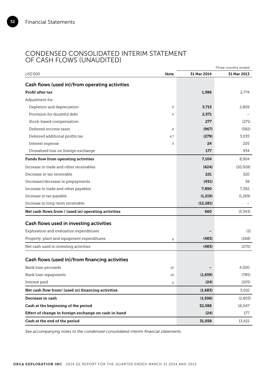32

### CONDENSED CONSOLIDATED INTERIM STATEMENT OF CASH FLOWS (UNAUDITED)

|                                                      |      |             | Three months ended |
|------------------------------------------------------|------|-------------|--------------------|
| US\$'000                                             | Note | 31 Mar 2014 | 31 Mar 2013        |
| Cash flows (used in)/from operating activities       |      |             |                    |
| Profit after tax                                     |      | 1,586       | 2,774              |
| Adjustment for:                                      |      |             |                    |
| Depletion and depreciation                           | 9    | 3,715       | 2,809              |
| Provision for doubtful debt                          | 5    | 2,571       |                    |
| Stock-based compensation                             |      | 277         | (271)              |
| Deferred income taxes                                | 6    | (967)       | (582)              |
| Deferred additional profits tax                      | 4,7  | (279)       | 3,035              |
| Interest expense                                     | 5    | 24          | 205                |
| Unrealised loss on foreign exchange                  |      | 177         | 934                |
| Funds flow from operating activities                 |      | 7,104       | 8,904              |
| Increase in trade and other receivables              |      | (624)       | (20, 928)          |
| Decrease in tax receivable                           |      | 221         | 320                |
| (Increase)/decrease in prepayments                   |      | (431)       | 38                 |
| Increase in trade and other payables                 |      | 7,890       | 7,392              |
| Increase in tax payable                              |      | (1, 219)    | (1,269)            |
| Increase in long-term receivable                     |      | (12, 281)   |                    |
| Net cash flows from / (used in) operating activities |      | 660         | (5, 543)           |
| Cash flows used in investing activities              |      |             |                    |
| Exploration and evaluation expenditures              |      |             | (2)                |
| Property, plant and equipment expenditures           | 9    | (483)       | (268)              |
| Net cash used in investing activities                |      | (483)       | (270)              |
|                                                      |      |             |                    |
| Cash flows (used in)/from financing activities       |      |             |                    |
| Bank loan proceeds                                   | 10   |             | 4,000              |
| Bank loan repayments                                 | 10   | (1,659)     | (785)              |
| Interest paid                                        | 5    | (24)        | (205)              |
| Net cash flow from/ (used in) financing activities   |      | (1,683)     | 3,010              |
| Decrease in cash                                     |      | (1, 506)    | (2,803)            |
| Cash at the beginning of the period                  |      | 32,588      | 16,047             |
| Effect of change in foreign exchange on cash in hand |      | (24)        | 177                |
| Cash at the end of the period                        |      | 31,058      | 13,421             |

*See accompanying notes to the condensed consolidated interim financial statements.*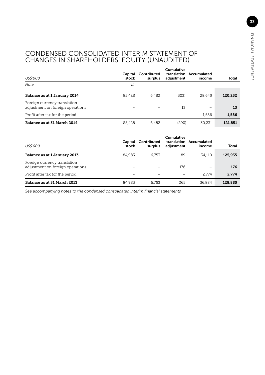### CONDENSED CONSOLIDATED INTERIM STATEMENT OF CHANGES IN SHAREHOLDERS' EQUITY (UNAUDITED)

| US\$'000                                                         | Capital<br>stock | Contributed<br>surplus   | Cumulative<br>adjustment | translation Accumulated<br>income | Total   |
|------------------------------------------------------------------|------------------|--------------------------|--------------------------|-----------------------------------|---------|
| <b>Note</b>                                                      | 11               |                          |                          |                                   |         |
| Balance as at 1 January 2014                                     | 85.428           | 6.482                    | (303)                    | 28.645                            | 120,252 |
| Foreign currency translation<br>adjustment on foreign operations |                  | $\overline{\phantom{0}}$ | 13                       | $\overline{\phantom{0}}$          | 13      |
| Profit after tax for the period                                  |                  |                          |                          | 1.586                             | 1,586   |
| Balance as at 31 March 2014                                      | 85.428           | 6.482                    | (290)                    | 30,231                            | 121,851 |

| US\$'000                                                         | Capital<br>stock | Contributed<br>surplus | Cumulative<br>adjustment | translation Accumulated<br>income | Total   |
|------------------------------------------------------------------|------------------|------------------------|--------------------------|-----------------------------------|---------|
| Balance as at 1 January 2013                                     | 84.983           | 6.753                  | 89                       | 34.110                            | 125,935 |
| Foreign currency translation<br>adjustment on foreign operations |                  |                        | 176                      |                                   | 176     |
| Profit after tax for the period                                  |                  |                        |                          | 2.774                             | 2.774   |
| Balance as at 31 March 2013                                      | 84.983           | 6.753                  | 265                      | 36.884                            | 128.885 |

*See accompanying notes to the condensed consolidated interim financial statements.*

33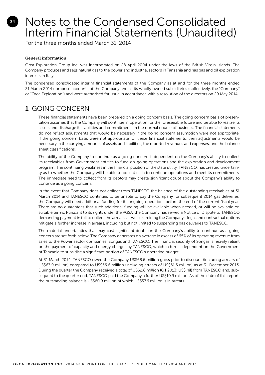# <span id="page-33-0"></span>Notes to the Condensed Consolidated Interim Financial Statements (Unaudited)

For the three months ended March 31, 2014

### General information

Orca Exploration Group Inc. was incorporated on 28 April 2004 under the laws of the British Virgin Islands. The Company produces and sells natural gas to the power and industrial sectors in Tanzania and has gas and oil exploration interests in Italy.

The condensed consolidated interim financial statements of the Company as at and for the three months ended 31 March 2014 comprise accounts of the Company and all its wholly owned subsidiaries (collectively, the "Company" or "Orca Exploration") and were authorised for issue in accordance with a resolution of the directors on 29 May 2014.

## 1 GOING CONCERN

These financial statements have been prepared on a going concern basis. The going concern basis of presentation assumes that the Company will continue in operation for the foreseeable future and be able to realize its assets and discharge its liabilities and commitments in the normal course of business. The financial statements do not reflect adjustments that would be necessary if the going concern assumption were not appropriate. If the going concern basis were not appropriate for these financial statements, then adjustments would be necessary in the carrying amounts of assets and liabilities, the reported revenues and expenses, and the balance sheet classifications.

The ability of the Company to continue as a going concern is dependent on the Company's ability to collect its receivables from Government entities to fund on-going operations and the exploration and development program. The continuing weakness in the financial position of the state utility, TANESCO, has created uncertainty as to whether the Company will be able to collect cash to continue operations and meet its commitments. The immediate need to collect from its debtors may create significant doubt about the Company's ability to continue as a going concern.

In the event that Company does not collect from TANESCO the balance of the outstanding receivables at 31 March 2014 and TANESCO continues to be unable to pay the Company for subsequent 2014 gas deliveries, the Company will need additional funding for its ongoing operations before the end of the current fiscal year. There are no guarantees that such additional funding will be available when needed, or will be available on suitable terms. Pursuant to its rights under the PGSA, the Company has served a Notice of Dispute to TANESCO demanding payment in full to collect the arrears, as well examining the Company's legal and contractual options mitigate a further increase in arrears, including but not limited to suspending gas deliveries to TANESCO.

The material uncertainties that may cast significant doubt on the Company's ability to continue as a going concern are set forth below. The Company generates on average in excess of 65% of its operating revenue from sales to the Power sector companies, Songas and TANESCO. The financial security of Songas is heavily reliant on the payment of capacity and energy charges by TANESCO, which in turn is dependent on the Government of Tanzania to subsidise a significant portion of TANESCO's operating budget.

At 31 March 2014, TANESCO owed the Company US\$68.6 million gross prior to discount (including arrears of US\$63.9 million) compared to US\$56.6 million (including arrears of US\$51.5 million) as at 31 December 2013. During the quarter the Company received a total of US\$2.8 million (Q1 2013: US\$ nil) from TANESCO and, subsequent to the quarter end, TANESCO paid the Company a further US\$10.9 million. As of the date of this report, the outstanding balance is US\$60.9 million of which US\$57.6 million is in arrears.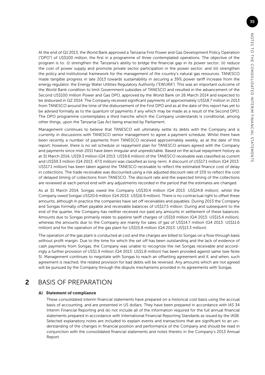At the end of Q1 2013, the World Bank approved a Tanzania First Power and Gas Development Policy Operation ("DPO") of US\$100 million, the first in a programme of three contemplated operations. The objective of the program is to: (i) strengthen the Tanzania's ability to bridge the financial gap in its power sector; (ii) reduce the cost of power supply and promote private sector participation in the power sector; and (iii) strengthen the policy and institutional framework for the management of the country's natural gas resources. TANESCO made tangible progress in late 2013 towards sustainability in securing a 39% power tariff increase from the energy regulator, the Energy Water Utilities Regulatory Authority ("EWURA"). This was an important outcome of the World Bank condition to limit Government subsidies of TANESCO and resulted in the advancement of the Second US\$100 million Power and Gas DPO, approved by the World Bank on 26 March 2014 and expected to be disbursed in Q2 2014. The Company received significant payments of approximately US\$18.7 million in 2013 from TANESCO around the time of the disbursement of the First DPO and as at the date of this report has yet to be advised formally as to the quantum of payments if any which may be made as a result of the Second DPO. The DPO programme contemplates a third tranche which the Company understands is conditional, among other things, upon the Tanzania Gas Act being enacted by Parliament.

Management continues to believe that TANESCO will ultimately settle its debts with the Company and is currently in discussions with TANESCO senior management to agree a payment schedule. Whilst there have been recently a number of payments from TANESCO received approximately weekly, as at the date of this report, however, there is no set schedule or repayment plan for TANESCO arrears agreed with the Company and payments since mid-2011 have been irregular and unpredictable. Based on the actual repayment history as at 31 March 2014, US\$9.3 million (Q4 2013: US\$9.6 million) of the TANESCO receivable was classified as current and US\$59.3 million (Q4 2013: 47.0 million) was classified as long-term. A discount of US\$17.1 million (Q4 2013: US\$17.1 million) has been taken against the TANESCO receivable to reflect the estimated finance cost of delay in collections. The trade receivable was discounted using a risk adjusted discount rate of 15% to reflect the cost of delayed timing of collections from TANESCO. The discount rate and the expected timing of the collections are reviewed at each period end with any adjustments recorded in the period that the estimates are changed.

As at 31 March 2014, Songas owed the Company US\$30.4 million (Q4 2013: US\$24.8 million), whilst the Company owed Songas US\$20.6 million (Q4 2013: US\$16.9 million). There is no contractual right to offset these amounts, although in practice the companies have set off receivables and payables. During 2013 the Company and Songas formally offset payable and receivable balances of US\$17.5 million. During and subsequent to the end of the quarter, the Company has neither received nor paid any amounts in settlement of these balances. Amounts due to Songas primarily relate to pipeline tariff charges of US\$19 million (Q4 2013: US\$15.4 million), whereas the amounts due to the Company are mainly for sales of gas of US\$14.7 million (Q4 2013: US\$11.6 million) and for the operation of the gas plant for US\$15.8 million (Q4 2013: US\$13.3 million).

The operation of the gas plant is conducted at cost and the charges are billed to Songas on a flow through basis without profit margin. Due to the time for which the set off has been outstanding and the lack of evidence of cash payments from Songas, the Company was unable to recognize the net Songas receivable and accordingly a further provision of US\$1.9 million (Q4 2013: US\$1.8 million) has been provided against same (see Note 5). Management continues to negotiate with Songas to reach an offsetting agreement and if, and when, such agreement is reached, the related provision for bad debts will be reversed. Any amounts which are not agreed will be pursued by the Company through the dispute mechanisms provided in its agreements with Songas.

### 2 BASIS OF PREPARATION

### A) Statement of compliance

 These consolidated interim financial statements have prepared on a historical cost basis using the accrual basis of accounting, and are presented in US dollars. They have been prepared in accordance with IAS 34 Interim Financial Reporting and do not include all of the information required for the full annual financial statements prepared in accordance with International Financial Reporting Standards as issued by the IASB. Selected explanatory notes are included to explain events and transactions that are significant to an understanding of the changes in financial position and performance of the Company and should be read in conjunction with the consolidated financial statements and notes thereto in the Company's 2013 Annual Report.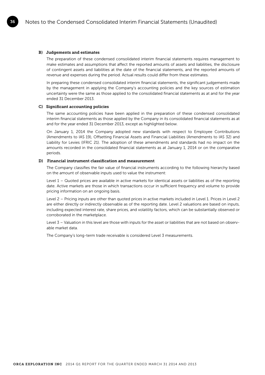#### B) Judgements and estimates

36

 The preparation of these condensed consolidated interim financial statements requires management to make estimates and assumptions that affect the reported amounts of assets and liabilities, the disclosure of contingent assets and liabilities at the date of the financial statements, and the reported amounts of revenue and expenses during the period. Actual results could differ from these estimates.

 In preparing these condensed consolidated interim financial statements, the significant judgements made by the management in applying the Company's accounting policies and the key sources of estimation uncertainty were the same as those applied to the consolidated financial statements as at and for the year ended 31 December 2013.

#### C) Significant accounting policies

 The same accounting policies have been applied in the preparation of these condensed consolidated interim financial statements as those applied by the Company in its consolidated financial statements as at and for the year ended 31 December 2013, except as highlighted below.

 On January 1, 2014 the Company adopted new standards with respect to Employee Contributions (Amendments to IAS 19), Offsetting Financial Assets and Financial Liabilities (Amendments to IAS 32) and Liability for Levies (IFRIC 21). The adoption of these amendments and standards had no impact on the amounts recorded in the consolidated financial statements as at January 1, 2014 or on the comparative periods.

#### D) Financial instrument classification and measurement

 The Company classifies the fair value of financial instruments according to the following hierarchy based on the amount of observable inputs used to value the instrument:

 Level 1 – Quoted prices are available in active markets for identical assets or liabilities as of the reporting date. Active markets are those in which transactions occur in sufficient frequency and volume to provide pricing information on an ongoing basis.

 Level 2 – Pricing inputs are other than quoted prices in active markets included in Level 1. Prices in Level 2 are either directly or indirectly observable as of the reporting date. Level 2 valuations are based on inputs, including expected interest rate, share prices, and volatility factors, which can be substantially observed or corroborated in the marketplace.

 Level 3 – Valuation in this level are those with inputs for the asset or liabilities that are not based on observable market data.

The Company's long-term trade receivable is considered Level 3 measurements.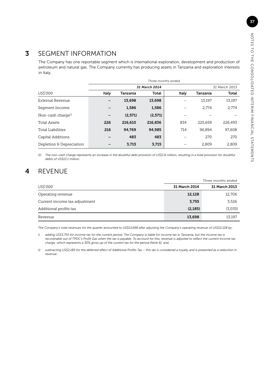## 3 SEGMENT INFORMATION

The Company has one reportable segment which is international exploration, development and production of petroleum and natural gas. The Company currently has producing assets in Tanzania and exploration interests in Italy.

|                          |               |          |         | Three months ended |          |               |  |
|--------------------------|---------------|----------|---------|--------------------|----------|---------------|--|
|                          | 31 March 2014 |          |         |                    |          | 31 March 2013 |  |
| US\$'000                 | Italy         | Tanzania | Total   | Italy              | Tanzania | Total         |  |
| External Revenue         | -             | 13,698   | 13,698  |                    | 13,197   | 13,197        |  |
| Segment Income           | -             | 1,586    | 1,586   |                    | 2.774    | 2,774         |  |
| Non-cash charge $(1)$    | -             | (2,571)  | (2,571) |                    |          |               |  |
| <b>Total Assets</b>      | 226           | 216,610  | 216,836 | 834                | 225.659  | 226,493       |  |
| Total Liabilities        | 216           | 94.769   | 94.985  | 714                | 96.894   | 97,608        |  |
| Capital Additions        | -             | 483      | 483     |                    | 270      | 270           |  |
| Depletion & Depreciation | -             | 3,715    | 3,715   |                    | 2,809    | 2,809         |  |

*(1) The non-cash charge represents an increase in the doubtful debt provision of US\$2.6 million, resulting in a total provision for doubtful debts of US\$13.1 million.*

# 4 REVENUE

|                               | Three months ended   |               |  |
|-------------------------------|----------------------|---------------|--|
| US\$'000                      | <b>31 March 2014</b> | 31 March 2013 |  |
| Operating revenue             | 12,128               | 12,706        |  |
| Current income tax adjustment | 3,755                | 3,526         |  |
| Additional profits tax        | (2, 185)             | (3,035)       |  |
| Revenue                       | 13,698               | 13,197        |  |

*The Company's total revenues for the quarter amounted to US\$13,698 after adjusting the Company's operating revenue of US\$12,128 by:*

*i)* adding US\$3,755 for income tax for the current period. The Company is liable for income tax in Tanzania, but the income tax is *recoverable out of TPDC's Profit Gas when the tax is payable. To account for this, revenue is adjusted to reflect the current income tax charge, which represents a 30% gross up of the current tax for the period (Note 6); and,*

*ii) subtracting US\$2,185 for the deferred effect of Additional Profits Tax – this tax is considered a royalty and is presented as a reduction in revenue.*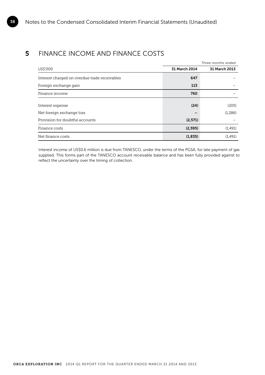# **5** FINANCE INCOME AND FINANCE COSTS

38

|                                               |               | Three months ended |
|-----------------------------------------------|---------------|--------------------|
| US\$'000                                      | 31 March 2014 | 31 March 2013      |
| Interest charged on overdue trade receivables | 647           |                    |
| Foreign exchange gain                         | 113           |                    |
| Finance income                                | 760           |                    |
| Interest expense                              | (24)          | (205)              |
| Net foreign exchange loss                     |               | (1,286)            |
| Provision for doubtful accounts               | (2,571)       |                    |
| Finance costs                                 | (2, 595)      | (1,491)            |
| Net finance costs                             | (1,835)       | (1,491)            |

Interest income of US\$0.6 million is due from TANESCO, under the terms of the PGSA, for late payment of gas supplied. This forms part of the TANESCO account receivable balance and has been fully provided against to reflect the uncertainty over the timing of collection.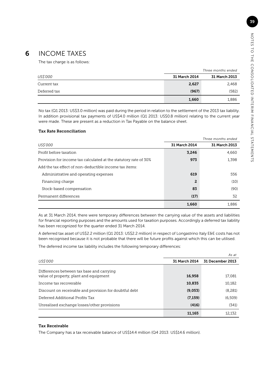The tax charge is as follows:

|              |               | Three months ended   |  |  |
|--------------|---------------|----------------------|--|--|
| US\$'000     | 31 March 2014 | <b>31 March 2013</b> |  |  |
| Current tax  | 2,627         | 2,468                |  |  |
| Deferred tax | (967)         | (582)                |  |  |
|              | 1,660         | 1,886                |  |  |

No tax (Q1 2013: US\$3.0 million) was paid during the period in relation to the settlement of the 2013 tax liability. In addition provisional tax payments of US\$4.0 million (Q1 2013: US\$0.8 million) relating to the current year were made. These are present as a reduction in Tax Payable on the balance sheet.

#### Tax Rate Reconciliation

|                                                                  |               | Three months ended |
|------------------------------------------------------------------|---------------|--------------------|
| US\$'000                                                         | 31 March 2014 | 31 March 2013      |
| Profit before taxation                                           | 3,246         | 4,660              |
| Provision for income tax calculated at the statutory rate of 30% | 973           | 1,398              |
| Add the tax effect of non-deductible income tax items:           |               |                    |
| Administrative and operating expenses                            | 619           | 556                |
| Financing charge                                                 | 2             | (10)               |
| Stock-based compensation                                         | 83            | (90)               |
| Permanent differences                                            | (17)          | 32                 |
|                                                                  | 1,660         | 1,886              |

As at 31 March 2014, there were temporary differences between the carrying value of the assets and liabilities for financial reporting purposes and the amounts used for taxation purposes. Accordingly a deferred tax liability has been recognized for the quarter ended 31 March 2014.

A deferred tax asset of US\$2.2 million (Q1 2013: US\$2.2 million) in respect of Longastrino Italy E&E costs has not been recognised because it is not probable that there will be future profits against which this can be utilised.

The deferred income tax liability includes the following temporary differences:

|                                                        |               | As at            |
|--------------------------------------------------------|---------------|------------------|
| US\$'000                                               | 31 March 2014 | 31 December 2013 |
| Differences between tax base and carrying              |               |                  |
| value of property, plant and equipment                 | 16,958        | 17,081           |
| Income tax recoverable                                 | 10,835        | 10,182           |
| Discount on receivable and provision for doubtful debt | (9,053)       | (8, 281)         |
| Deferred Additional Profits Tax                        | (7, 159)      | (6,509)          |
| Unrealised exchange losses/other provisions            | (416)         | (341)            |
|                                                        | 11,165        | 12,132           |

#### Tax Receivable

The Company has a tax receivable balance of US\$14.4 million (Q4 2013: US\$14.6 million).

39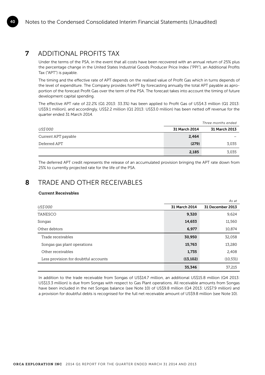## 7 ADDITIONAL PROFITS TAX

Under the terms of the PSA, in the event that all costs have been recovered with an annual return of 25% plus the percentage change in the United States Industrial Goods Producer Price Index ("PPI"), an Additional Profits Tax ("APT") is payable.

The timing and the effective rate of APT depends on the realised value of Profit Gas which in turns depends of the level of expenditure. The Company provides forAPT by forecasting annually the total APT payable as aproportion of the forecast Profit Gas over the term of the PSA. The forecast takes into account the timing of future development capital spending.

The effective APT rate of 22.2% (Q1 2013: 33.3%) has been applied to Profit Gas of US\$4.3 million (Q1 2013: US\$9.1 million), and accordingly, US\$2.2 million (Q1 2013: US\$3.0 million) has been netted off revenue for the quarter ended 31 March 2014.

|                     | Three months ended   |                      |  |
|---------------------|----------------------|----------------------|--|
| US\$'000            | <b>31 March 2014</b> | <b>31 March 2013</b> |  |
| Current APT payable | 2,464                |                      |  |
| Deferred APT        | (279)                | 3,035                |  |
|                     | 2,185                | 3,035                |  |

The deferred APT credit represents the release of an accumulated provision bringing the APT rate down from 25% to currently projected rate for the life of the PSA.

### 8 TRADE AND OTHER RECEIVABLES

### Current Receivables

|                                      |               | As at            |
|--------------------------------------|---------------|------------------|
| US\$'000                             | 31 March 2014 | 31 December 2013 |
| <b>TANESCO</b>                       | 9,320         | 9,624            |
| Songas                               | 14,653        | 11,560           |
| Other debtors                        | 6,977         | 10,874           |
| Trade receivables                    | 30,950        | 32,058           |
| Songas gas plant operations          | 15,763        | 13,280           |
| Other receivables                    | 1,735         | 2,408            |
| Less provision for doubtful accounts | (13, 102)     | (10, 531)        |
|                                      | 35,346        | 37,215           |

In addition to the trade receivable from Songas of US\$14.7 million, an additional US\$15.8 million (Q4 2013: US\$13.3 million) is due from Songas with respect to Gas Plant operations. All receivable amounts from Songas have been included in the net Songas balance (see Note 10) of US\$9.8 million (Q4 2013: US\$7.9 million) and a provision for doubtful debts is recognised for the full net receivable amount of US\$9.8 million (see Note 10).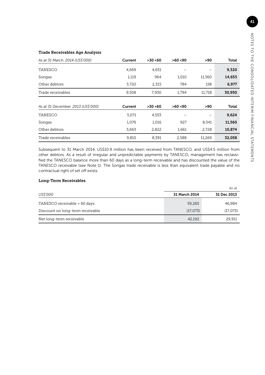### Trade Receivables Age Analysis

| As at 31 March, 2014 (US\$'000)    | Current | >30<60   | >60<90 | >90    | <b>Total</b> |
|------------------------------------|---------|----------|--------|--------|--------------|
| TANESCO                            | 4,669   | 4,651    |        |        | 9,320        |
| Songas                             | 1,119   | 964      | 1,010  | 11,560 | 14,653       |
| Other debtors                      | 3,720   | 2,315    | 784    | 158    | 6,977        |
| Trade receivables                  | 9,508   | 7,930    | 1,794  | 11,718 | 30,950       |
|                                    |         |          |        |        |              |
| As at 31 December, 2013 (US\$'000) | Current | >30 < 60 | >60<90 | >90    | Total        |
| <b>TANESCO</b>                     | 5,071   | 4,553    |        |        | 9,624        |
| Songas                             | 1,076   | 1,016    | 927    | 8,541  | 11,560       |
| Other debtors                      | 3,663   | 2,822    | 1,661  | 2,728  | 10,874       |
| Trade receivables                  | 9,810   | 8,391    | 2,588  | 11,269 | 32,058       |

Subsequent to 31 March 2014, US\$10.9 million has been received from TANESCO, and US\$4.5 million from other debtors. As a result of irregular and unpredictable payments by TANESCO, management has reclassified the TANESCO balance more than 60 days as a long-term receivable and has discounted the value of the TANESCO receivable (see Note 1). The Songas trade receivable is less than equivalent trade payable and no contractual right of set off exists.

### Long-Term Receivables

|                                  |               | As at       |
|----------------------------------|---------------|-------------|
| US\$'000                         | 31 March 2014 | 31 Dec 2013 |
| TANESCO receivable > 60 days     | 59,265        | 46,984      |
| Discount on long-term receivable | (17,073)      | (17,073)    |
| Net long-term receivable         | 42,192        | 29,911      |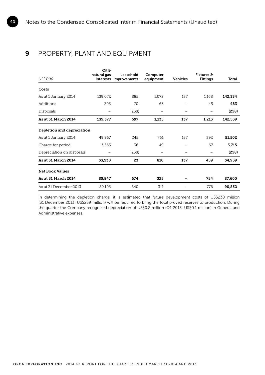# 9 PROPERTY, PLANT AND EQUIPMENT

|                            | Oil &       |                                     |                       |                 |                               |         |
|----------------------------|-------------|-------------------------------------|-----------------------|-----------------|-------------------------------|---------|
| US\$'000                   | natural gas | Leasehold<br>interests improvements | Computer<br>equipment | <b>Vehicles</b> | Fixtures &<br><b>Fittings</b> | Total   |
| Costs                      |             |                                     |                       |                 |                               |         |
| As at 1 January 2014       | 139,072     | 885                                 | 1,072                 | 137             | 1,168                         | 142,334 |
| Additions                  | 305         | 70                                  | 63                    |                 | 45                            | 483     |
| Disposals                  |             | (258)                               |                       |                 |                               | (258)   |
| As at 31 March 2014        | 139,377     | 697                                 | 1,135                 | 137             | 1,213                         | 142,559 |
| Depletion and depreciation |             |                                     |                       |                 |                               |         |
| As at 1 January 2014       | 49,967      | 245                                 | 761                   | 137             | 392                           | 51,502  |
| Charge for period          | 3,563       | 36                                  | 49                    |                 | 67                            | 3,715   |
| Depreciation on disposals  |             | (258)                               |                       |                 |                               | (258)   |
| As at 31 March 2014        | 53,530      | 23                                  | 810                   | 137             | 459                           | 54,959  |
| <b>Net Book Values</b>     |             |                                     |                       |                 |                               |         |
| As at 31 March 2014        | 85,847      | 674                                 | 325                   |                 | 754                           | 87,600  |
| As at 31 December 2013     | 89,105      | 640                                 | 311                   |                 | 776                           | 90,832  |

In determining the depletion charge, it is estimated that future development costs of US\$238 million (31 December 2013: US\$239 million) will be required to bring the total proved reserves to production. During the quarter the Company recognized depreciation of US\$0.2 million (Q1 2013: US\$0.1 million) in General and Administrative expenses.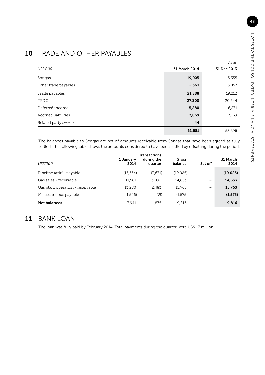# 10 TRADE AND OTHER PAYABLES

|                         | As at         |             |  |
|-------------------------|---------------|-------------|--|
| US\$'000                | 31 March 2014 | 31 Dec 2013 |  |
| Songas                  | 19,025        | 15,355      |  |
| Other trade payables    | 2,363         | 3,857       |  |
| Trade payables          | 21,388        | 19,212      |  |
| TPDC                    | 27,300        | 20,644      |  |
| Deferred income         | 5,880         | 6,271       |  |
| Accrued liabilities     | 7,069         | 7,169       |  |
| Related party (Note 14) | 44            |             |  |
|                         | 61,681        | 53,296      |  |

The balances payable to Songas are net of amounts receivable from Songas that have been agreed as fully settled. The following table shows the amounts considered to have been settled by offsetting during the period.

| US\$'000                         | 1 January<br>2014 | Transactions<br>during the<br>quarter | Gross<br>balance | Set off | 31 March<br>2014 |
|----------------------------------|-------------------|---------------------------------------|------------------|---------|------------------|
| Pipeline tariff - payable        | (15, 354)         | (3,671)                               | (19, 025)        | —       | (19, 025)        |
| Gas sales - receivable           | 11.561            | 3.092                                 | 14.653           | -       | 14,653           |
| Gas plant operation - receivable | 13.280            | 2.483                                 | 15.763           |         | 15,763           |
| Miscellaneous payable            | (1.546)           | (29)                                  | (1.575)          | -       | (1, 575)         |
| Net balances                     | 7.941             | 1.875                                 | 9,816            | -       | 9,816            |

# 11 BANK LOAN

The loan was fully paid by February 2014. Total payments during the quarter were US\$1.7 million.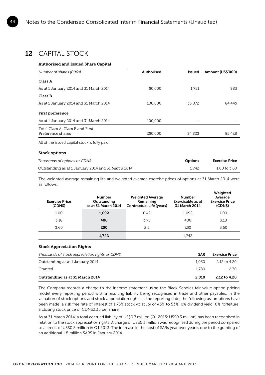### 12 CAPITAL STOCK

#### Authorised and Issued Share Capital

| Number of shares (000s)                               | <b>Authorised</b> | <b>Issued</b> | Amount (US\$'000) |
|-------------------------------------------------------|-------------------|---------------|-------------------|
| Class A                                               |                   |               |                   |
| As at 1 January 2014 and 31 March 2014                | 50,000            | 1.751         | 983               |
| Class B                                               |                   |               |                   |
| As at 1 January 2014 and 31 March 2014                | 100,000           | 33,072        | 84,445            |
| First preference                                      |                   |               |                   |
| As at 1 January 2014 and 31 March 2014                | 100,000           |               |                   |
| Total Class A, Class B and First<br>Preference shares | 250,000           | 34.823        | 85.428            |

All of the issued capital stock is fully paid.

#### Stock options

| Thousands of options or CDNS                       | Options | <b>Exercise Price</b> |
|----------------------------------------------------|---------|-----------------------|
| Outstanding as at 1 January 2014 and 31 March 2014 | 1.742   | 1.00 to 3.60          |

The weighted average remaining life and weighted average exercise prices of options at 31 March 2014 were as follows:

| <b>Exercise Price</b><br>(CDNS) | <b>Number</b><br>Outstanding<br>as at 31 March 2014 | <b>Weighted Average</b><br>Remaining<br><b>Contractual Life (years)</b> | <b>Number</b><br>Exercisable as at<br>31 March 2014 | Weighted<br>Average<br><b>Exercise Price</b><br>(CDN\$) |
|---------------------------------|-----------------------------------------------------|-------------------------------------------------------------------------|-----------------------------------------------------|---------------------------------------------------------|
| 1.00                            | 1,092                                               | 0.42                                                                    | 1.092                                               | 1.00                                                    |
| 3.18                            | 400                                                 | 3.75                                                                    | 400                                                 | 3.18                                                    |
| 3.60                            | 250                                                 | 2.5                                                                     | 250                                                 | 3.60                                                    |
|                                 | 1,742                                               |                                                                         | 1.742                                               |                                                         |

#### Stock Appreciation Rights

| Thousands of stock appreciation rights or CDNS | <b>SAR</b> | <b>Exercise Price</b> |
|------------------------------------------------|------------|-----------------------|
| Outstanding as at 1 January 2014               | 1.030      | 2.12 to 4.20          |
| Granted                                        | 1.780      | 2.30                  |
| Outstanding as at 31 March 2014                | 2.810      | 2.12 to 4.20          |

The Company records a charge to the income statement using the Black-Scholes fair value option pricing model every reporting period with a resulting liability being recognised in trade and other payables. In the valuation of stock options and stock appreciation rights at the reporting date, the following assumptions have been made: a risk free rate of interest of 1.75% stock volatility of 43% to 53%; 0% dividend yield; 0% forfeiture; a closing stock price of CDN\$2.35 per share.

As at 31 March 2014, a total accrued liability of US\$0.7 million (Q1 2013: US\$0.3 million) has been recognised in relation to the stock appreciation rights. A charge of US\$0.3 million was recognised during the period compared to a credit of US\$0.3 million in Q1 2013. The increase in the cost of SARs year over year is due to the granting of an additional 1.8 million SARS in January 2014.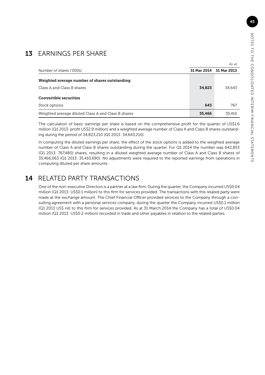# 13 EARNINGS PER SHARE

|                                                     |             | As at       |
|-----------------------------------------------------|-------------|-------------|
| Number of shares ('000s)                            | 31 Mar 2014 | 31 Mar 2013 |
| Weighted average number of shares outstanding       |             |             |
| Class A and Class B shares                          | 34,823      | 34,643      |
| Convertible securities                              |             |             |
| Stock options                                       | 643         | 767         |
| Weighted average diluted Class A and Class B shares | 35,466      | 35,410      |

The calculation of basic earnings per share is based on the comprehensive profit for the quarter of US\$1.6 million (Q1 2013: profit US\$2.9 million) and a weighted average number of Class A and Class B shares outstanding during the period of 34,823,210 (Q1 2013: 34,643,210).

In computing the diluted earnings per share, the effect of the stock options is added to the weighted average number of Class A and Class B shares outstanding during the quarter. For Q1 2014 the number was 642,853 (Q1 2013: 767,480) shares, resulting in a diluted weighted average number of Class A and Class B shares of 35,466,063 (Q1 2013: 35,410,690). No adjustments were required to the reported earnings from operations in computing diluted per share amounts.

# 14 RELATED PARTY TRANSACTIONS

One of the non-executive Directors is a partner at a law firm. During the quarter, the Company incurred US\$0.04 million (Q1 2013: US\$0.1 million) to this firm for services provided. The transactions with this related party were made at the exchange amount. The Chief Financial Officer provided services to the Company through a consulting agreement with a personal services company, during the quarter the Company incurred US\$0.1 million (Q1 2013 US\$ nil) to this firm for services provided. As at 31 March 2014 the Company has a total of US\$0.04 million (Q1 2013: US\$0.2 million) recorded in trade and other payables in relation to the related parties.

45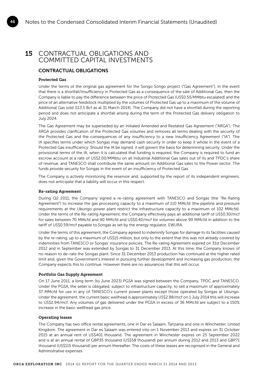### 15 CONTRACTUAL OBLIGATIONS AND COMMITTED CAPITAL INVESTMENTS

### CONTRACTUAL OBLIGATIONS

#### Protected Gas

46

Under the terms of the original gas agreement for the Songo Songo project ("Gas Agreement"), in the event that there is a shortfall/insufficiency in Protected Gas as a consequence of the sale of Additional Gas, then the Company is liable to pay the difference between the price of Protected Gas (US\$0.55/MMbtu escalated) and the price of an alternative feedstock multiplied by the volumes of Protected Gas up to a maximum of the volume of Additional Gas sold (113.5 Bcf as at 31 March 2014). The Company did not have a shortfall during the reporting period and does not anticipate a shortfall arising during the term of the Protected Gas delivery obligation to July 2024.

The Gas Agreement may be superseded by an initialed Amended and Restated Gas Agreement ("ARGA"). The ARGA provides clarification of the Protected Gas volumes and removes all terms dealing with the security of the Protected Gas and the consequences of any insufficiency to a new Insufficiency Agreement ("IA"). The IA specifies terms under which Songas may demand cash security in order to keep it whole in the event of a Protected Gas insufficiency. Should the IA be signed, it will govern the basis for determining security. Under the provisional terms of the IA, when it is calculated that funding is required, the Company is required to fund an escrow account at a rate of US\$2.00/MMbtu on all Industrial Additional Gas sales out of its and TPDC's share of revenue, and TANESCO shall contribute the same amount on Additional Gas sales to the Power sector. The funds provide security for Songas in the event of an insufficiency of Protected Gas.

The Company is actively monitoring the reservoir and, supported by the report of its independent engineers, does not anticipate that a liability will occur in this respect.

#### Re-rating Agreement

During Q2 2011, the Company signed a re-rating agreement with TANESCO and Songas (the "Re-Rating Agreement") to increase the gas processing capacity to a maximum of 110 MMcfd (the pipeline and pressure requirements at the Ubungo power plant restrict the infrastructure capacity to a maximum of 102 MMcfd). Under the terms of the Re-rating Agreement, the Company effectively pays an additional tariff of US\$0.30/mcf for sales between 70 MMcfd and 90 MMcfd and US\$0.40/mcf for volumes above 90 MMcfd in addition to the tariff of US\$0.59/mcf payable to Songas as set by the energy regulator, EWURA.

Under the terms of this agreement, the Company agreed to indemnify Songas for damage to its facilities caused by the re-rating, up to a maximum of US\$15 million, but only to the extent that this was not already covered by indemnities from TANESCO or Songas' insurance policies. The Re-rating Agreement expired on 31st December 2012 and in September was extended by Songas to 31 December 2013. At this time, the Company knows of no reason to de-rate the Songas plant. Since 31 December 2013 production has continued at the higher rated limit and, given the Government's interest in pursuing further development and increasing gas production, the Company expects this to continue. However there are no assurances that this will occur.

#### Portfolio Gas Supply Agreement

On 17 June 2011, a long term (to June 2023) PGSA was signed between the Company, TPDC and TANESCO. Under the PGSA, the seller is obligated, subject to infrastructure capacity, to sell a maximum of approximately 37 MMcfd for use in any of TANESCO's current power plants except those operated by Songas at Ubungo. Under the agreement, the current basic wellhead is approximately US\$2.88/mcf on 1 July 2014 this will increase to US\$2.94/mcf. Any volumes of gas delivered under the PGSA in excess of 36 MMcfd are subject to a 150% increase in the basic wellhead gas price.

#### Operating leases

The Company has two office rental agreements, one in Dar es Salaam, Tanzania and one in Winchester, United Kingdom. The agreement in Dar es Salaam was entered into on 1 November 2013 and expires on 31 October 2015 at an annual rent of US\$401 thousand. The agreement in Winchester expires on 25 September 2022 and is at an annual rental of GBP35 thousand (US\$58 thousand) per annum during 2012 and 2013 and GBP71 thousand (US\$115 thousand) per annum thereafter. The costs of these leases are recognised in the General and Administrative expenses.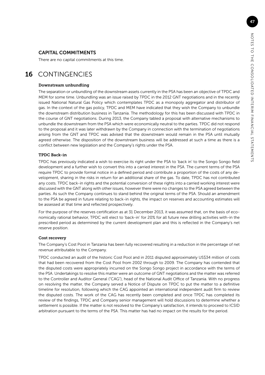### CAPITAL COMMITMENTS

There are no capital commitments at this time.

### 16 CONTINGENCIES

#### Downstream unbundling

The separation or unbundling of the downstream assets currently in the PSA has been an objective of TPDC and MEM for some time. Unbundling was an issue raised by TPDC in the 2012 GNT negotiations and in the recently issued National Natural Gas Policy which contemplates TPDC as a monopoly aggregator and distributor of gas. In the context of the gas policy, TPDC and MEM have indicated that they wish the Company to unbundle the downstream distribution business in Tanzania. The methodology for this has been discussed with TPDC in the course of GNT negotiations. During 2013, the Company tabled a proposal with alternative mechanisms to unbundle the downstream from the PSA which were economically neutral to the parties. TPDC did not respond to the proposal and it was later withdrawn by the Company in connection with the termination of negotiations arising from the GNT and TPDC was advised that the downstream would remain in the PSA until mutually agreed otherwise. The disposition of the downstream business will be addressed at such a time as there is a conflict between new legislation and the Company's rights under the PSA.

#### TPDC Back-in

TPDC has previously indicated a wish to exercise its right under the PSA to 'back in' to the Songo Songo field development and a further wish to convert this into a carried interest in the PSA. The current terms of the PSA require TPDC to provide formal notice in a defined period and contribute a proportion of the costs of any development, sharing in the risks in return for an additional share of the gas. To date, TPDC has not contributed any costs. TPDC back-in rights and the potential conversion of these rights into a carried working interest were discussed with the GNT along with other issues, however there were no changes to the PSA agreed between the parties. As such the Company continues to stand behind the original terms of the PSA. Should an amendment to the PSA be agreed in future relating to back-in rights, the impact on reserves and accounting estimates will be assessed at that time and reflected prospectively.

For the purpose of the reserves certification as at 31 December 2013, it was assumed that, on the basis of economically rational behavior, TPDC will elect to 'back-in' for 20% for all future new drilling activities with-in the prescribed period as determined by the current development plan and this is reflected in the Company's net reserve position.

#### Cost recovery

The Company's Cost Pool in Tanzania has been fully recovered resulting in a reduction in the percentage of net revenue attributable to the Company.

TPDC conducted an audit of the historic Cost Pool and in 2011 disputed approximately US\$34 million of costs that had been recovered from the Cost Pool from 2002 through to 2009. The Company has contended that the disputed costs were appropriately incurred on the Songo Songo project in accordance with the terms of the PSA. Undertakings to resolve this matter were an outcome of GNT negotiations and the matter was referred to the Controller and Auditor General ("CAG"), head of the National Audit Office of Tanzania. With no progress on resolving the matter, the Company served a Notice of Dispute on TPDC to put the matter to a definitive timeline for resolution, following which the CAG appointed an international independent audit firm to review the disputed costs. The work of the CAG has recently been completed and once TPDC has completed its review of the findings, TPDC and Company senior management will hold discussions to determine whether a settlement is possible. If the matter is not resolved to the Company's satisfaction, it intends to proceed to ICSID arbitration pursuant to the terms of the PSA. This matter has had no impact on the results for the period.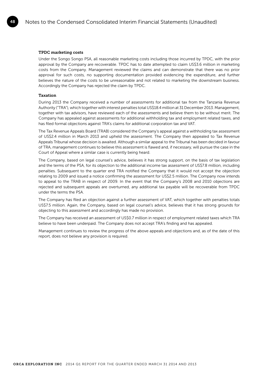#### TPDC marketing costs

Under the Songo Songo PSA, all reasonable marketing costs including those incurred by TPDC, with the prior approval by the Company are recoverable. TPDC has to date attempted to claim US\$3.6 million in marketing costs from the Company. Management reviewed the claims and can demonstrate that there was no prior approval for such costs, no supporting documentation provided evidencing the expenditure, and further believes the nature of the costs to be unreasonable and not related to marketing the downstream business. Accordingly the Company has rejected the claim by TPDC.

#### Taxation

48

During 2013 the Company received a number of assessments for additional tax from the Tanzania Revenue Authority ("TRA"), which together with interest penalties total US\$18.4 million at 31 December 2013. Management, together with tax advisors, have reviewed each of the assessments and believe them to be without merit. The Company has appealed against assessments for additional withholding tax and employment related taxes, and has filed formal objections against TRA's claims for additional corporation tax and VAT.

The Tax Revenue Appeals Board (TRAB) considered the Company's appeal against a withholding tax assessment of US\$2.4 million in March 2013 and upheld the assessment. The Company then appealed to Tax Revenue Appeals Tribunal whose decision is awaited. Although a similar appeal to the Tribunal has been decided in favour of TRA, management continues to believe this assessment is flawed and, if necessary, will pursue the case in the Court of Appeal where a similar case is currently being heard.

The Company, based on legal counsel's advice, believes it has strong support, on the basis of tax legislation and the terms of the PSA, for its objection to the additional income tax assessment of US\$7.8 million, including penalties. Subsequent to the quarter end TRA notified the Company that it would not accept the objection relating to 2009 and issued a notice confirming the assessment for US\$2.5 million. The Company now intends to appeal to the TRAB in respect of 2009. In the event that the Company's 2008 and 2010 objections are rejected and subsequent appeals are overturned, any additional tax payable will be recoverable from TPDC under the terms the PSA.

The Company has filed an objection against a further assessment of VAT, which together with penalties totals US\$7.5 million. Again, the Company, based on legal counsel's advice, believes that it has strong grounds for objecting to this assessment and accordingly has made no provision.

The Company has received an assessment of US\$0.7 million in respect of employment related taxes which TRA believe to have been underpaid. The Company does not accept TRA's finding and has appealed.

Management continues to review the progress of the above appeals and objections and, as of the date of this report, does not believe any provision is required.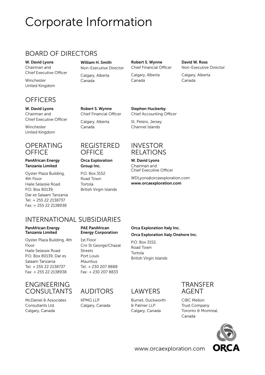# <span id="page-48-0"></span>Corporate Information

# BOARD OF DIRECTORS

W. David Lyons Chairman and Chief Executive Officer

Winchester United Kingdom

# **OFFICERS**

W. David Lyons Chairman and Chief Executive Officer

Winchester United Kingdom

### OPERATING **OFFICE**

### PanAfrican Energy Tanzania Limited

Oyster Plaza Building, 4th Floor Haile Selassie Road P.O. Box 80139, Dar es Salaam Tanzania Tel: + 255 22 2138737 Fax: + 255 22 2138938

Non-Executive Director Calgary, Alberta Canada

William H. Smith

Robert S. Wynne Chief Financial Officer

Calgary, Alberta Canada

### David W. Ross Non-Executive Director

Calgary, Alberta Canada

Robert S. Wynne Chief Financial Officer Calgary, Alberta Canada

### REGISTERED **OFFICE**

### Orca Exploration Group Inc.

P.O. Box 3152 Road Town Tortola British Virgin Islands

# RELATIONS

WDLyons@orcaexploration.com

# INTERNATIONAL SUBSIDIARIES

#### PanAfrican Energy Tanzania Limited

Oyster Plaza Building, 4th Floor Haile Selassie Road P.O. Box 80139, Dar es Salaam Tanzania Tel: + 255 22 2138737 Fax: + 255 22 2138938

### ENGINEERING CONSULTANTS AUDITORS LAWYERS

McDaniel & Associates Consultants Ltd. Calgary, Canada

### PAE PanAfrican Energy Corporation

1st Floor Cnr St George/Chazal Streets Port Louis Mauritius Tel: + 230 207 8888 Fax: + 230 207 8833

KPMG LLP Calgary, Canada

### Orca Exploration Italy Inc. Orca Exploration Italy Onshore Inc.

P.O. Box 3152, Road Town Tortola British Virgin Islands

Burnet, Duckworth & Palmer LLP Calgary, Canada



CIBC Mellon Trust Company Toronto & Montreal, Canada



www.orcaexploration.com



INVESTOR

Stephen Huckerby Chief Accounting Officer

St. Peters, Jersey Channel Islands

W. David Lyons Chairman and Chief Executive Officer

www.orcaexploration.com